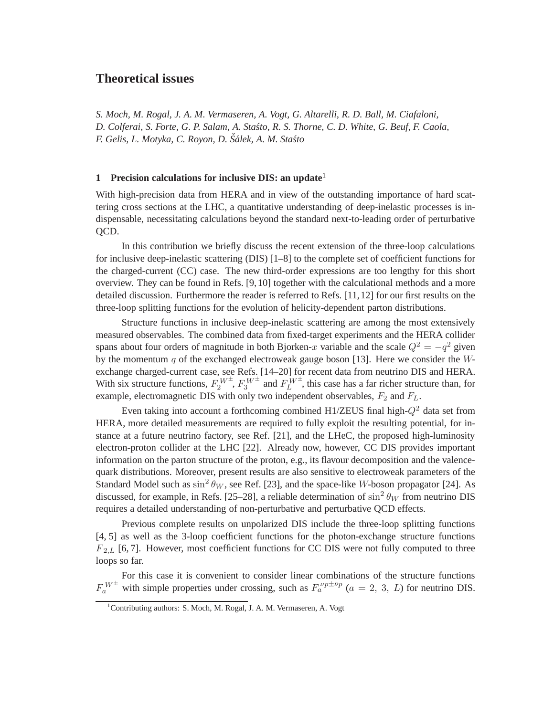# **Theoretical issues**

*S. Moch, M. Rogal, J. A. M. Vermaseren, A. Vogt, G. Altarelli, R. D. Ball, M. Ciafaloni, D. Colferai, S. Forte, G. P. Salam, A. Sta´sto, R. S. Thorne, C. D. White, G. Beuf, F. Caola, F. Gelis, L. Motyka, C. Royon, D. Sˇalek, A. M. Sta´sto ´*

#### **1 Precision calculations for inclusive DIS: an update**<sup>1</sup>

With high-precision data from HERA and in view of the outstanding importance of hard scattering cross sections at the LHC, a quantitative understanding of deep-inelastic processes is indispensable, necessitating calculations beyond the standard next-to-leading order of perturbative QCD.

In this contribution we briefly discuss the recent extension of the three-loop calculations for inclusive deep-inelastic scattering (DIS) [1–8] to the complete set of coefficient functions for the charged-current (CC) case. The new third-order expressions are too lengthy for this short overview. They can be found in Refs. [9,10] together with the calculational methods and a more detailed discussion. Furthermore the reader is referred to Refs. [11,12] for our first results on the three-loop splitting functions for the evolution of helicity-dependent parton distributions.

Structure functions in inclusive deep-inelastic scattering are among the most extensively measured observables. The combined data from fixed-target experiments and the HERA collider spans about four orders of magnitude in both Bjorken-x variable and the scale  $Q^2 = -q^2$  given by the momentum  $q$  of the exchanged electroweak gauge boson [13]. Here we consider the Wexchange charged-current case, see Refs. [14–20] for recent data from neutrino DIS and HERA. With six structure functions,  $F_2^{W^{\pm}}$ ,  $F_3^{W^{\pm}}$  and  $F_L^{W^{\pm}}$ , this case has a far richer structure than, for example, electromagnetic DIS with only two independent observables,  $F_2$  and  $F_L$ .

Even taking into account a forthcoming combined H1/ZEUS final high- $Q^2$  data set from HERA, more detailed measurements are required to fully exploit the resulting potential, for instance at a future neutrino factory, see Ref. [21], and the LHeC, the proposed high-luminosity electron-proton collider at the LHC [22]. Already now, however, CC DIS provides important information on the parton structure of the proton, e.g., its flavour decomposition and the valencequark distributions. Moreover, present results are also sensitive to electroweak parameters of the Standard Model such as  $\sin^2 \theta_W$ , see Ref. [23], and the space-like W-boson propagator [24]. As discussed, for example, in Refs. [25–28], a reliable determination of  $\sin^2 \theta_W$  from neutrino DIS requires a detailed understanding of non-perturbative and perturbative QCD effects.

Previous complete results on unpolarized DIS include the three-loop splitting functions [4, 5] as well as the 3-loop coefficient functions for the photon-exchange structure functions  $F_{2,L}$  [6, 7]. However, most coefficient functions for CC DIS were not fully computed to three loops so far.

For this case it is convenient to consider linear combinations of the structure functions  $F_a^{W^{\pm}}$  with simple properties under crossing, such as  $F_a^{\nu p \pm \bar{\nu} p}$  ( $a = 2, 3, L$ ) for neutrino DIS.

<sup>&</sup>lt;sup>1</sup>Contributing authors: S. Moch, M. Rogal, J. A. M. Vermaseren, A. Vogt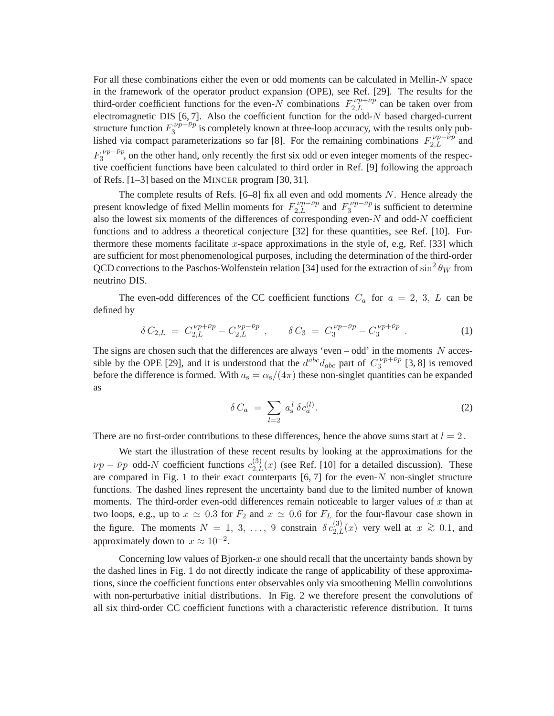For all these combinations either the even or odd moments can be calculated in Mellin-N space in the framework of the operator product expansion (OPE), see Ref. [29]. The results for the third-order coefficient functions for the even-N combinations  $F_{2,L}^{\nu p+\bar{\nu}p}$  can be taken over from electromagnetic DIS  $[6, 7]$ . Also the coefficient function for the odd- $N$  based charged-current structure function  $F_3^{\nu p + \bar{\nu} p}$  $\frac{1}{3}$ <sup>t/p+1/p</sup> is completely known at three-loop accuracy, with the results only published via compact parameterizations so far [8]. For the remaining combinations  $F_{2,L}^{\nu p-\bar{\nu}p}$  and  $F_3^{\nu p-\bar\nu p}$  $3^{1}$ , on the other hand, only recently the first six odd or even integer moments of the respective coefficient functions have been calculated to third order in Ref. [9] following the approach of Refs. [1–3] based on the MINCER program [30, 31].

The complete results of Refs.  $[6-8]$  fix all even and odd moments N. Hence already the present knowledge of fixed Mellin moments for  $F_{2,L}^{\nu p - \bar{\nu} p}$  and  $F_3^{\nu p - \bar{\nu} p}$  $3^{y}p - \nu p$  is sufficient to determine also the lowest six moments of the differences of corresponding even- $N$  and odd- $N$  coefficient functions and to address a theoretical conjecture [32] for these quantities, see Ref. [10]. Furthermore these moments facilitate x-space approximations in the style of, e.g, Ref. [33] which are sufficient for most phenomenological purposes, including the determination of the third-order QCD corrections to the Paschos-Wolfenstein relation [34] used for the extraction of  $\sin^2\theta_W$  from neutrino DIS.

The even-odd differences of the CC coefficient functions  $C_a$  for  $a = 2, 3, L$  can be defined by

$$
\delta C_{2,L} = C_{2,L}^{\nu p + \bar{\nu} p} - C_{2,L}^{\nu p - \bar{\nu} p} \ , \qquad \delta C_3 = C_3^{\nu p - \bar{\nu} p} - C_3^{\nu p + \bar{\nu} p} \ . \tag{1}
$$

The signs are chosen such that the differences are always 'even – odd' in the moments  $N$  accessible by the OPE [29], and it is understood that the  $d^{abc}d_{abc}$  part of  $C_3^{\nu p + \bar{\nu} p}$  $3^{(1/p+1/p)}$  [3, 8] is removed before the difference is formed. With  $a_s = \alpha_s/(4\pi)$  these non-singlet quantities can be expanded as

$$
\delta C_a = \sum_{l=2} a_s^l \delta c_a^{(l)}.
$$
\n(2)

There are no first-order contributions to these differences, hence the above sums start at  $l = 2$ .

We start the illustration of these recent results by looking at the approximations for the  $\nu p - \bar{\nu} p$  odd-N coefficient functions  $c_{2,L}^{(3)}(x)$  (see Ref. [10] for a detailed discussion). These are compared in Fig. 1 to their exact counterparts  $[6, 7]$  for the even-N non-singlet structure functions. The dashed lines represent the uncertainty band due to the limited number of known moments. The third-order even-odd differences remain noticeable to larger values of  $x$  than at two loops, e.g., up to  $x \approx 0.3$  for  $F_2$  and  $x \approx 0.6$  for  $F_L$  for the four-flavour case shown in the figure. The moments  $N = 1, 3, ..., 9$  constrain  $\delta c_{2,L}^{(3)}(x)$  very well at  $x \ge 0.1$ , and approximately down to  $x \approx 10^{-2}$ .

Concerning low values of Bjorken-x one should recall that the uncertainty bands shown by the dashed lines in Fig. 1 do not directly indicate the range of applicability of these approximations, since the coefficient functions enter observables only via smoothening Mellin convolutions with non-perturbative initial distributions. In Fig. 2 we therefore present the convolutions of all six third-order CC coefficient functions with a characteristic reference distribution. It turns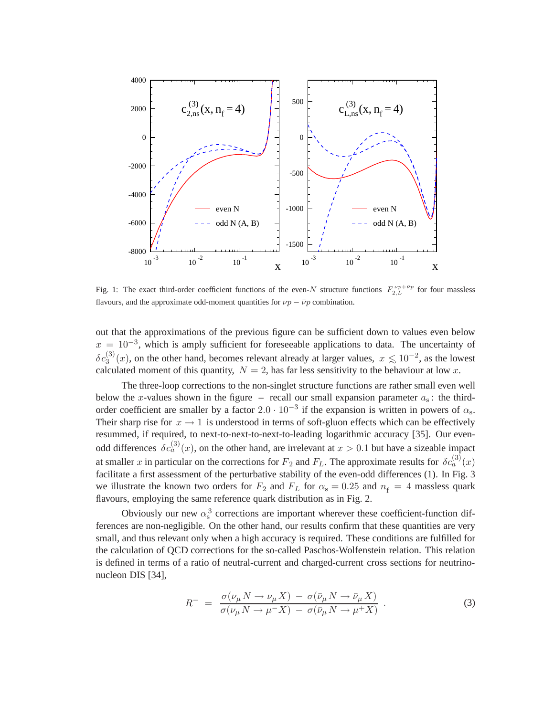

Fig. 1: The exact third-order coefficient functions of the even-N structure functions  $F_{2,L}^{\nu p+\bar{\nu}p}$  for four massless flavours, and the approximate odd-moment quantities for  $\nu p - \bar{\nu} p$  combination.

out that the approximations of the previous figure can be sufficient down to values even below  $x = 10^{-3}$ , which is amply sufficient for foreseeable applications to data. The uncertainty of  $\delta c_3^{(3)}(x)$ , on the other hand, becomes relevant already at larger values,  $x \lesssim 10^{-2}$ , as the lowest calculated moment of this quantity,  $N = 2$ , has far less sensitivity to the behaviour at low x.

The three-loop corrections to the non-singlet structure functions are rather small even well below the x-values shown in the figure – recall our small expansion parameter  $a_s$ : the thirdorder coefficient are smaller by a factor  $2.0 \cdot 10^{-3}$  if the expansion is written in powers of  $\alpha_s$ . Their sharp rise for  $x \to 1$  is understood in terms of soft-gluon effects which can be effectively resummed, if required, to next-to-next-to-next-to-leading logarithmic accuracy [35]. Our evenodd differences  $\delta c_a^{(3)}(x)$ , on the other hand, are irrelevant at  $x > 0.1$  but have a sizeable impact at smaller x in particular on the corrections for  $F_2$  and  $F_L$ . The approximate results for  $\delta c_a^{(3)}(x)$ facilitate a first assessment of the perturbative stability of the even-odd differences (1). In Fig. 3 we illustrate the known two orders for  $F_2$  and  $F_L$  for  $\alpha_s = 0.25$  and  $n_f = 4$  massless quark flavours, employing the same reference quark distribution as in Fig. 2.

Obviously our new  $\alpha_s^3$  corrections are important wherever these coefficient-function differences are non-negligible. On the other hand, our results confirm that these quantities are very small, and thus relevant only when a high accuracy is required. These conditions are fulfilled for the calculation of QCD corrections for the so-called Paschos-Wolfenstein relation. This relation is defined in terms of a ratio of neutral-current and charged-current cross sections for neutrinonucleon DIS [34],

$$
R^{-} = \frac{\sigma(\nu_{\mu} N \to \nu_{\mu} X) - \sigma(\bar{\nu}_{\mu} N \to \bar{\nu}_{\mu} X)}{\sigma(\nu_{\mu} N \to \mu^{-} X) - \sigma(\bar{\nu}_{\mu} N \to \mu^{+} X)}.
$$
\n(3)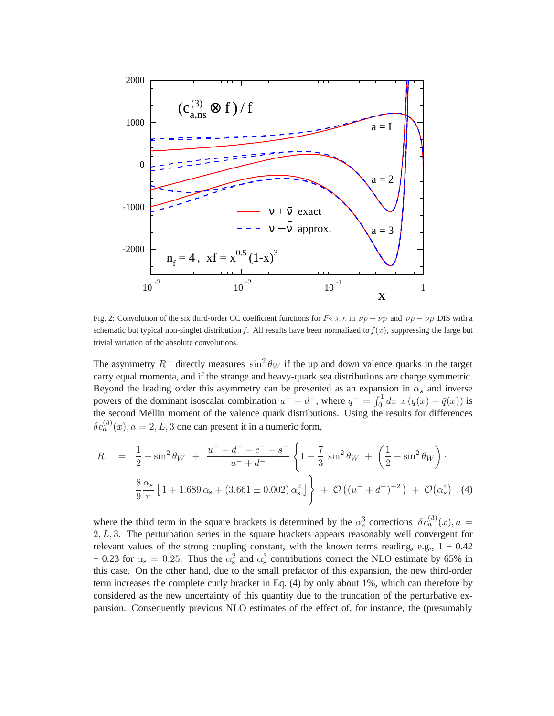

Fig. 2: Convolution of the six third-order CC coefficient functions for  $F_{2, 3, L}$  in  $\nu p + \bar{\nu} p$  and  $\nu p - \bar{\nu} p$  DIS with a schematic but typical non-singlet distribution f. All results have been normalized to  $f(x)$ , suppressing the large but trivial variation of the absolute convolutions.

The asymmetry  $R^-$  directly measures  $\sin^2 \theta_W$  if the up and down valence quarks in the target carry equal momenta, and if the strange and heavy-quark sea distributions are charge symmetric. Beyond the leading order this asymmetry can be presented as an expansion in  $\alpha_s$  and inverse powers of the dominant isoscalar combination  $u^- + d^-$ , where  $q^- = \int_0^1 dx x (q(x) - \bar{q}(x))$  is the second Mellin moment of the valence quark distributions. Using the results for differences  $\delta c_a^{(3)}(x), a = 2, L, 3$  one can present it in a numeric form,

$$
R^{-} = \frac{1}{2} - \sin^{2} \theta_{W} + \frac{u^{-} - d^{-} + c^{-} - s^{-}}{u^{-} + d^{-}} \left\{ 1 - \frac{7}{3} \sin^{2} \theta_{W} + \left( \frac{1}{2} - \sin^{2} \theta_{W} \right) \right\} \n\frac{8}{9} \frac{\alpha_{s}}{\pi} \left[ 1 + 1.689 \alpha_{s} + (3.661 \pm 0.002) \alpha_{s}^{2} \right] + \mathcal{O}\left( (u^{-} + d^{-})^{-2} \right) + \mathcal{O}\left( \alpha_{s}^{4} \right) , (4)
$$

where the third term in the square brackets is determined by the  $\alpha_s^3$  corrections  $\delta c_a^{(3)}(x)$ ,  $a =$  $2, L, 3$ . The perturbation series in the square brackets appears reasonably well convergent for relevant values of the strong coupling constant, with the known terms reading, e.g.,  $1 + 0.42$ + 0.23 for  $\alpha_s = 0.25$ . Thus the  $\alpha_s^2$  and  $\alpha_s^3$  contributions correct the NLO estimate by 65% in this case. On the other hand, due to the small prefactor of this expansion, the new third-order term increases the complete curly bracket in Eq. (4) by only about 1%, which can therefore by considered as the new uncertainty of this quantity due to the truncation of the perturbative expansion. Consequently previous NLO estimates of the effect of, for instance, the (presumably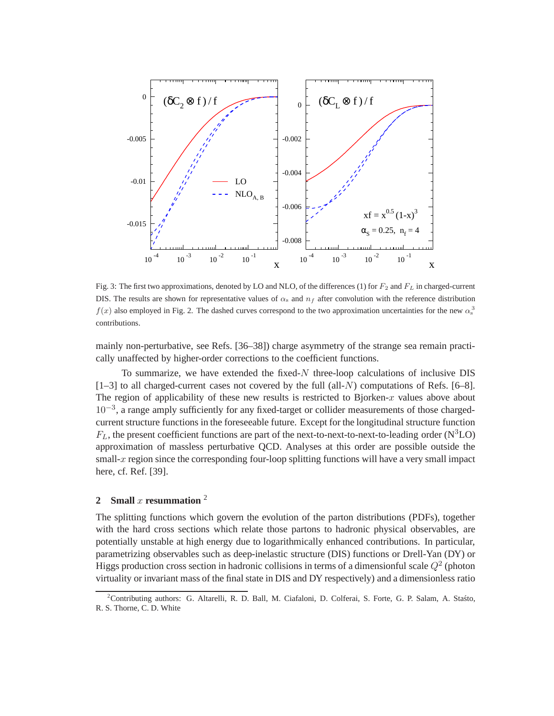

Fig. 3: The first two approximations, denoted by LO and NLO, of the differences (1) for  $F_2$  and  $F_L$  in charged-current DIS. The results are shown for representative values of  $\alpha_s$  and  $n_f$  after convolution with the reference distribution  $f(x)$  also employed in Fig. 2. The dashed curves correspond to the two approximation uncertainties for the new  $\alpha_s^3$ contributions.

mainly non-perturbative, see Refs. [36–38]) charge asymmetry of the strange sea remain practically unaffected by higher-order corrections to the coefficient functions.

To summarize, we have extended the fixed- $N$  three-loop calculations of inclusive DIS  $[1-3]$  to all charged-current cases not covered by the full (all-N) computations of Refs. [6–8]. The region of applicability of these new results is restricted to Bjorken- $x$  values above about 10<sup>-3</sup>, a range amply sufficiently for any fixed-target or collider measurements of those chargedcurrent structure functions in the foreseeable future. Except for the longitudinal structure function  $F_L$ , the present coefficient functions are part of the next-to-next-to-next-to-leading order ( $\rm N^3LO$ ) approximation of massless perturbative QCD. Analyses at this order are possible outside the small- $x$  region since the corresponding four-loop splitting functions will have a very small impact here, cf. Ref. [39].

## **2 Small** x **resummation** <sup>2</sup>

The splitting functions which govern the evolution of the parton distributions (PDFs), together with the hard cross sections which relate those partons to hadronic physical observables, are potentially unstable at high energy due to logarithmically enhanced contributions. In particular, parametrizing observables such as deep-inelastic structure (DIS) functions or Drell-Yan (DY) or Higgs production cross section in hadronic collisions in terms of a dimensionful scale  $Q^2$  (photon virtuality or invariant mass of the final state in DIS and DY respectively) and a dimensionless ratio

<sup>&</sup>lt;sup>2</sup>Contributing authors: G. Altarelli, R. D. Ball, M. Ciafaloni, D. Colferai, S. Forte, G. P. Salam, A. Stasto, R. S. Thorne, C. D. White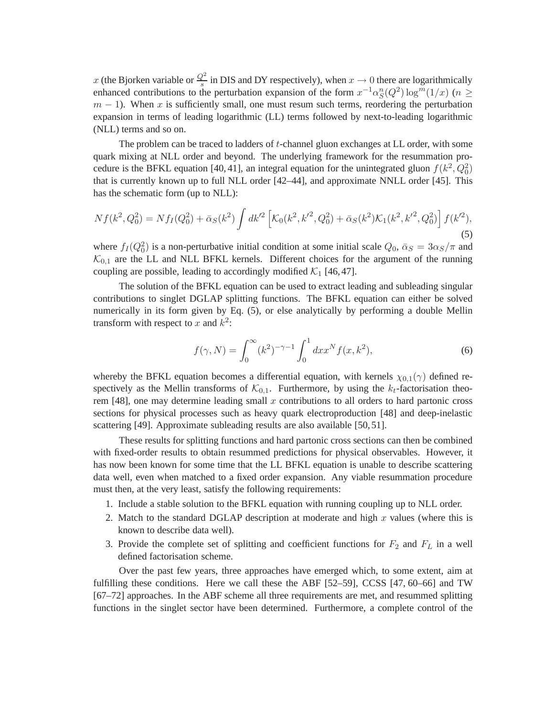x (the Bjorken variable or  $\frac{Q^2}{s}$  in DIS and DY respectively), when  $x \to 0$  there are logarithmically enhanced contributions to the perturbation expansion of the form  $x^{-1} \alpha_S^n(Q^2) \log^m(1/x)$  ( $n \ge$  $m - 1$ ). When x is sufficiently small, one must resum such terms, reordering the perturbation expansion in terms of leading logarithmic (LL) terms followed by next-to-leading logarithmic (NLL) terms and so on.

The problem can be traced to ladders of t-channel gluon exchanges at LL order, with some quark mixing at NLL order and beyond. The underlying framework for the resummation procedure is the BFKL equation [40, 41], an integral equation for the unintegrated gluon  $f(k^2, Q_0^2)$ that is currently known up to full NLL order [42–44], and approximate NNLL order [45]. This has the schematic form (up to NLL):

$$
Nf(k^2, Q_0^2) = Nf_I(Q_0^2) + \bar{\alpha}_S(k^2) \int dk'^2 \left[ \mathcal{K}_0(k^2, k'^2, Q_0^2) + \bar{\alpha}_S(k^2) \mathcal{K}_1(k^2, k'^2, Q_0^2) \right] f(k'^2),\tag{5}
$$

where  $f_I(Q_0^2)$  is a non-perturbative initial condition at some initial scale  $Q_0$ ,  $\bar{\alpha}_S = 3\alpha_S/\pi$  and  $K_{0,1}$  are the LL and NLL BFKL kernels. Different choices for the argument of the running coupling are possible, leading to accordingly modified  $\mathcal{K}_1$  [46, 47].

The solution of the BFKL equation can be used to extract leading and subleading singular contributions to singlet DGLAP splitting functions. The BFKL equation can either be solved numerically in its form given by Eq. (5), or else analytically by performing a double Mellin transform with respect to x and  $k^2$ :

$$
f(\gamma, N) = \int_0^\infty (k^2)^{-\gamma - 1} \int_0^1 dx x^N f(x, k^2), \tag{6}
$$

whereby the BFKL equation becomes a differential equation, with kernels  $\chi_{0,1}(\gamma)$  defined respectively as the Mellin transforms of  $K_{0,1}$ . Furthermore, by using the  $k_t$ -factorisation theorem  $[48]$ , one may determine leading small x contributions to all orders to hard partonic cross sections for physical processes such as heavy quark electroproduction [48] and deep-inelastic scattering [49]. Approximate subleading results are also available [50, 51].

These results for splitting functions and hard partonic cross sections can then be combined with fixed-order results to obtain resummed predictions for physical observables. However, it has now been known for some time that the LL BFKL equation is unable to describe scattering data well, even when matched to a fixed order expansion. Any viable resummation procedure must then, at the very least, satisfy the following requirements:

- 1. Include a stable solution to the BFKL equation with running coupling up to NLL order.
- 2. Match to the standard DGLAP description at moderate and high  $x$  values (where this is known to describe data well).
- 3. Provide the complete set of splitting and coefficient functions for  $F_2$  and  $F_L$  in a well defined factorisation scheme.

Over the past few years, three approaches have emerged which, to some extent, aim at fulfilling these conditions. Here we call these the ABF [52–59], CCSS [47, 60–66] and TW [67–72] approaches. In the ABF scheme all three requirements are met, and resummed splitting functions in the singlet sector have been determined. Furthermore, a complete control of the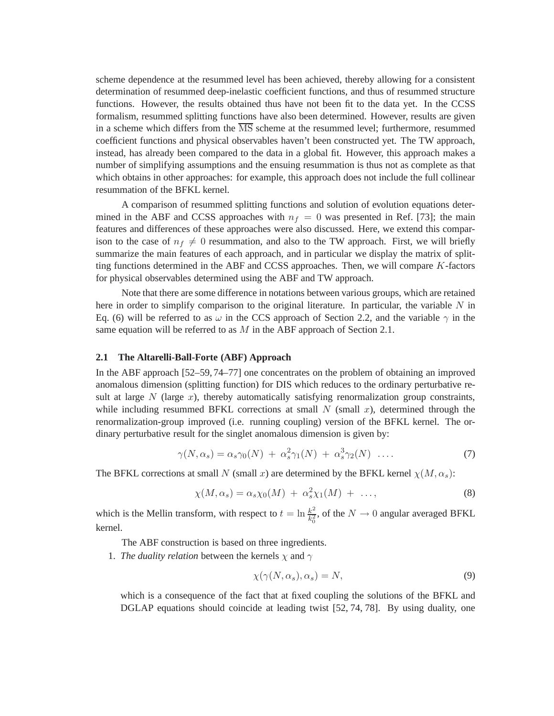scheme dependence at the resummed level has been achieved, thereby allowing for a consistent determination of resummed deep-inelastic coefficient functions, and thus of resummed structure functions. However, the results obtained thus have not been fit to the data yet. In the CCSS formalism, resummed splitting functions have also been determined. However, results are given in a scheme which differs from the  $\overline{\text{MS}}$  scheme at the resummed level; furthermore, resummed coefficient functions and physical observables haven't been constructed yet. The TW approach, instead, has already been compared to the data in a global fit. However, this approach makes a number of simplifying assumptions and the ensuing resummation is thus not as complete as that which obtains in other approaches: for example, this approach does not include the full collinear resummation of the BFKL kernel.

A comparison of resummed splitting functions and solution of evolution equations determined in the ABF and CCSS approaches with  $n_f = 0$  was presented in Ref. [73]; the main features and differences of these approaches were also discussed. Here, we extend this comparison to the case of  $n_f \neq 0$  resummation, and also to the TW approach. First, we will briefly summarize the main features of each approach, and in particular we display the matrix of splitting functions determined in the ABF and CCSS approaches. Then, we will compare K-factors for physical observables determined using the ABF and TW approach.

Note that there are some difference in notations between various groups, which are retained here in order to simplify comparison to the original literature. In particular, the variable  $N$  in Eq. (6) will be referred to as  $\omega$  in the CCS approach of Section 2.2, and the variable  $\gamma$  in the same equation will be referred to as  $M$  in the ABF approach of Section 2.1.

### **2.1 The Altarelli-Ball-Forte (ABF) Approach**

In the ABF approach [52–59, 74–77] one concentrates on the problem of obtaining an improved anomalous dimension (splitting function) for DIS which reduces to the ordinary perturbative result at large  $N$  (large  $x$ ), thereby automatically satisfying renormalization group constraints, while including resummed BFKL corrections at small  $N$  (small  $x$ ), determined through the renormalization-group improved (i.e. running coupling) version of the BFKL kernel. The ordinary perturbative result for the singlet anomalous dimension is given by:

$$
\gamma(N, \alpha_s) = \alpha_s \gamma_0(N) + \alpha_s^2 \gamma_1(N) + \alpha_s^3 \gamma_2(N) \dots \tag{7}
$$

The BFKL corrections at small N (small x) are determined by the BFKL kernel  $\chi(M,\alpha_s)$ :

$$
\chi(M, \alpha_s) = \alpha_s \chi_0(M) + \alpha_s^2 \chi_1(M) + \dots,
$$
\n(8)

which is the Mellin transform, with respect to  $t = \ln \frac{k^2}{k^2}$  $\frac{k^2}{k_0^2}$ , of the  $N \to 0$  angular averaged BFKL kernel.

The ABF construction is based on three ingredients.

1. *The duality relation* between the kernels  $\chi$  and  $\gamma$ 

$$
\chi(\gamma(N,\alpha_s),\alpha_s) = N,\tag{9}
$$

which is a consequence of the fact that at fixed coupling the solutions of the BFKL and DGLAP equations should coincide at leading twist [52, 74, 78]. By using duality, one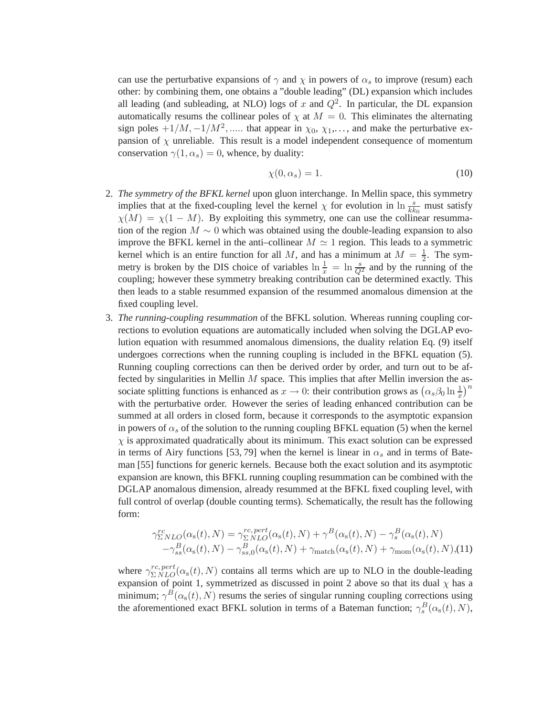can use the perturbative expansions of  $\gamma$  and  $\chi$  in powers of  $\alpha_s$  to improve (resum) each other: by combining them, one obtains a "double leading" (DL) expansion which includes all leading (and subleading, at NLO) logs of x and  $Q^2$ . In particular, the DL expansion automatically resums the collinear poles of  $\chi$  at  $M = 0$ . This eliminates the alternating sign poles  $+1/M$ ,  $-1/M^2$ , ..... that appear in  $\chi_0$ ,  $\chi_1$ ,..., and make the perturbative expansion of  $\chi$  unreliable. This result is a model independent consequence of momentum conservation  $\gamma(1,\alpha_s) = 0$ , whence, by duality:

$$
\chi(0, \alpha_s) = 1. \tag{10}
$$

- 2. *The symmetry of the BFKL kernel* upon gluon interchange. In Mellin space, this symmetry implies that at the fixed-coupling level the kernel  $\chi$  for evolution in  $\ln \frac{s}{k k_0}$  must satisfy  $\chi(M) = \chi(1 - M)$ . By exploiting this symmetry, one can use the collinear resummation of the region  $M \sim 0$  which was obtained using the double-leading expansion to also improve the BFKL kernel in the anti–collinear  $M \simeq 1$  region. This leads to a symmetric kernel which is an entire function for all M, and has a minimum at  $M = \frac{1}{2}$ . The symmetry is broken by the DIS choice of variables  $\ln \frac{1}{x} = \ln \frac{s}{Q^2}$  and by the running of the coupling; however these symmetry breaking contribution can be determined exactly. This then leads to a stable resummed expansion of the resummed anomalous dimension at the fixed coupling level.
- 3. *The running-coupling resummation* of the BFKL solution. Whereas running coupling corrections to evolution equations are automatically included when solving the DGLAP evolution equation with resummed anomalous dimensions, the duality relation Eq. (9) itself undergoes corrections when the running coupling is included in the BFKL equation (5). Running coupling corrections can then be derived order by order, and turn out to be affected by singularities in Mellin  $M$  space. This implies that after Mellin inversion the associate splitting functions is enhanced as  $x \to 0$ : their contribution grows as  $(\alpha_s \beta_0 \ln \frac{1}{x})^n$ with the perturbative order. However the series of leading enhanced contribution can be summed at all orders in closed form, because it corresponds to the asymptotic expansion in powers of  $\alpha_s$  of the solution to the running coupling BFKL equation (5) when the kernel  $\chi$  is approximated quadratically about its minimum. This exact solution can be expressed in terms of Airy functions [53, 79] when the kernel is linear in  $\alpha_s$  and in terms of Bateman [55] functions for generic kernels. Because both the exact solution and its asymptotic expansion are known, this BFKL running coupling resummation can be combined with the DGLAP anomalous dimension, already resummed at the BFKL fixed coupling level, with full control of overlap (double counting terms). Schematically, the result has the following form:

$$
\gamma_{\Sigma NLO}^{rc}(\alpha_{\rm s}(t), N) = \gamma_{\Sigma NLO}^{rc, pert}(\alpha_{\rm s}(t), N) + \gamma^{B}(\alpha_{\rm s}(t), N) - \gamma^{B}_{s}(\alpha_{\rm s}(t), N) - \gamma^{B}_{s}(\alpha_{\rm s}(t), N) - \gamma^{B}_{ss}(\alpha_{\rm s}(t), N) - \gamma^{B}_{ss,0}(\alpha_{\rm s}(t), N) + \gamma_{\rm match}(\alpha_{\rm s}(t), N) + \gamma_{\rm mom}(\alpha_{\rm s}(t), N), (11)
$$

where  $\gamma_{\Sigma NLO}^{rc,pert}(\alpha_{s}(t),N)$  contains all terms which are up to NLO in the double-leading expansion of point 1, symmetrized as discussed in point 2 above so that its dual  $\chi$  has a minimum;  $\gamma^B(\alpha_s(t),N)$  resums the series of singular running coupling corrections using the aforementioned exact BFKL solution in terms of a Bateman function;  $\gamma_s^B(\alpha_s(t), N)$ ,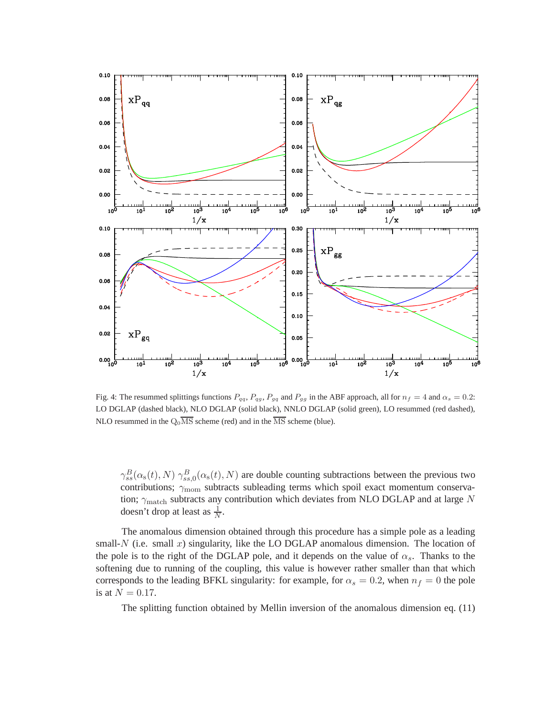

Fig. 4: The resummed splittings functions  $P_{qq}, P_{gg}, P_{gg}$  and  $P_{gg}$  in the ABF approach, all for  $n_f = 4$  and  $\alpha_s = 0.2$ : LO DGLAP (dashed black), NLO DGLAP (solid black), NNLO DGLAP (solid green), LO resummed (red dashed), NLO resummed in the  $Q_0\overline{\text{MS}}$  scheme (red) and in the  $\overline{\text{MS}}$  scheme (blue).

 $\gamma_{ss}^B(\alpha_s(t), N)$   $\gamma_{ss,0}^B(\alpha_s(t), N)$  are double counting subtractions between the previous two contributions;  $\gamma_{\text{mom}}$  subtracts subleading terms which spoil exact momentum conservation;  $\gamma_{\rm match}$  subtracts any contribution which deviates from NLO DGLAP and at large N doesn't drop at least as  $\frac{1}{N}$ .

The anomalous dimension obtained through this procedure has a simple pole as a leading small- $N$  (i.e. small  $x$ ) singularity, like the LO DGLAP anomalous dimension. The location of the pole is to the right of the DGLAP pole, and it depends on the value of  $\alpha_s$ . Thanks to the softening due to running of the coupling, this value is however rather smaller than that which corresponds to the leading BFKL singularity: for example, for  $\alpha_s = 0.2$ , when  $n_f = 0$  the pole is at  $N = 0.17$ .

The splitting function obtained by Mellin inversion of the anomalous dimension eq. (11)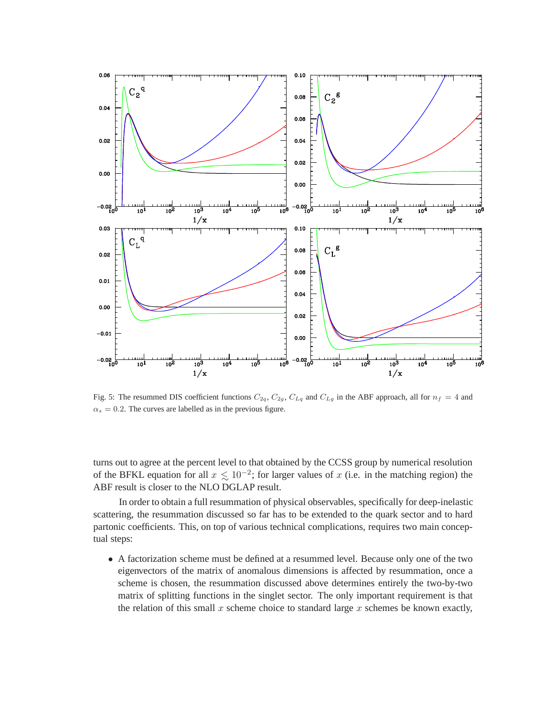

Fig. 5: The resummed DIS coefficient functions  $C_{2q}$ ,  $C_{2g}$ ,  $C_{Lq}$  and  $C_{Lg}$  in the ABF approach, all for  $n_f = 4$  and  $\alpha_s = 0.2$ . The curves are labelled as in the previous figure.

turns out to agree at the percent level to that obtained by the CCSS group by numerical resolution of the BFKL equation for all  $x \le 10^{-2}$ ; for larger values of x (i.e. in the matching region) the ABE result is closer to the NLO DGLAB result. ABF result is closer to the NLO DGLAP result.

In order to obtain a full resummation of physical observables, specifically for deep-inelastic scattering, the resummation discussed so far has to be extended to the quark sector and to hard partonic coefficients. This, on top of various technical complications, requires two main conceptual steps:

• A factorization scheme must be defined at a resummed level. Because only one of the two eigenvectors of the matrix of anomalous dimensions is affected by resummation, once a scheme is chosen, the resummation discussed above determines entirely the two-by-two matrix of splitting functions in the singlet sector. The only important requirement is that the relation of this small  $x$  scheme choice to standard large  $x$  schemes be known exactly,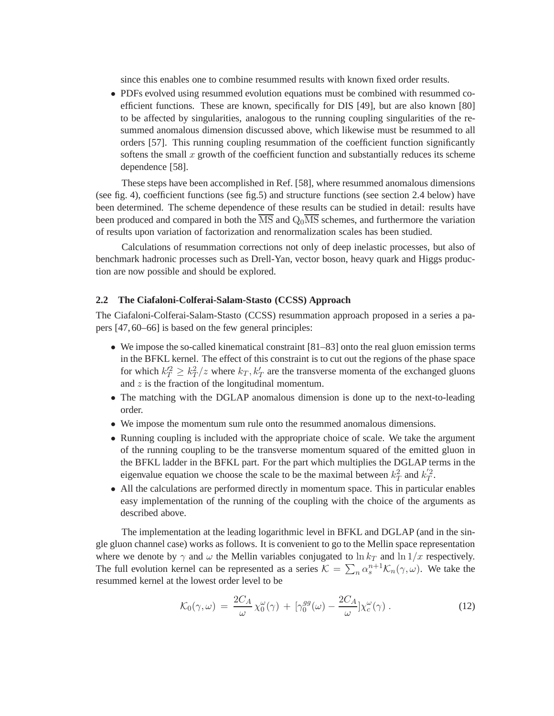since this enables one to combine resummed results with known fixed order results.

• PDFs evolved using resummed evolution equations must be combined with resummed coefficient functions. These are known, specifically for DIS [49], but are also known [80] to be affected by singularities, analogous to the running coupling singularities of the resummed anomalous dimension discussed above, which likewise must be resummed to all orders [57]. This running coupling resummation of the coefficient function significantly softens the small  $x$  growth of the coefficient function and substantially reduces its scheme dependence [58].

These steps have been accomplished in Ref. [58], where resummed anomalous dimensions (see fig. 4), coefficient functions (see fig.5) and structure functions (see section 2.4 below) have been determined. The scheme dependence of these results can be studied in detail: results have been produced and compared in both the  $\overline{\text{MS}}$  and  $\text{Q}_0\overline{\text{MS}}$  schemes, and furthermore the variation of results upon variation of factorization and renormalization scales has been studied.

Calculations of resummation corrections not only of deep inelastic processes, but also of benchmark hadronic processes such as Drell-Yan, vector boson, heavy quark and Higgs production are now possible and should be explored.

### **2.2 The Ciafaloni-Colferai-Salam-Stasto (CCSS) Approach**

The Ciafaloni-Colferai-Salam-Stasto (CCSS) resummation approach proposed in a series a papers [47, 60–66] is based on the few general principles:

- We impose the so-called kinematical constraint [81–83] onto the real gluon emission terms in the BFKL kernel. The effect of this constraint is to cut out the regions of the phase space for which  $k_T^2 \ge k_T^2/z$  where  $k_T, k_T'$  are the transverse momenta of the exchanged gluons and z is the fraction of the longitudinal momentum.
- The matching with the DGLAP anomalous dimension is done up to the next-to-leading order.
- We impose the momentum sum rule onto the resummed anomalous dimensions.
- Running coupling is included with the appropriate choice of scale. We take the argument of the running coupling to be the transverse momentum squared of the emitted gluon in the BFKL ladder in the BFKL part. For the part which multiplies the DGLAP terms in the eigenvalue equation we choose the scale to be the maximal between  $k_T^2$  and  $k_T^{'2}$ .
- All the calculations are performed directly in momentum space. This in particular enables easy implementation of the running of the coupling with the choice of the arguments as described above.

The implementation at the leading logarithmic level in BFKL and DGLAP (and in the single gluon channel case) works as follows. It is convenient to go to the Mellin space representation where we denote by  $\gamma$  and  $\omega$  the Mellin variables conjugated to  $\ln k_T$  and  $\ln 1/x$  respectively. The full evolution kernel can be represented as a series  $\mathcal{K} = \sum_n \alpha_s^{n+1} \mathcal{K}_n(\gamma, \omega)$ . We take the resummed kernel at the lowest order level to be

$$
\mathcal{K}_0(\gamma,\omega) = \frac{2C_A}{\omega} \chi_0^{\omega}(\gamma) + [\gamma_0^{gg}(\omega) - \frac{2C_A}{\omega}] \chi_c^{\omega}(\gamma) . \tag{12}
$$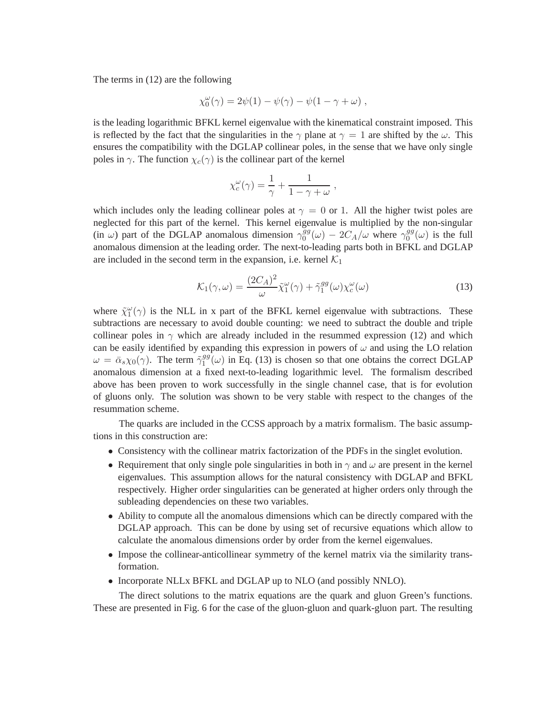The terms in (12) are the following

$$
\chi_0^{\omega}(\gamma) = 2\psi(1) - \psi(\gamma) - \psi(1 - \gamma + \omega) ,
$$

is the leading logarithmic BFKL kernel eigenvalue with the kinematical constraint imposed. This is reflected by the fact that the singularities in the  $\gamma$  plane at  $\gamma = 1$  are shifted by the  $\omega$ . This ensures the compatibility with the DGLAP collinear poles, in the sense that we have only single poles in  $\gamma$ . The function  $\chi_c(\gamma)$  is the collinear part of the kernel

$$
\chi_c^{\omega}(\gamma) = \frac{1}{\gamma} + \frac{1}{1 - \gamma + \omega} ,
$$

which includes only the leading collinear poles at  $\gamma = 0$  or 1. All the higher twist poles are neglected for this part of the kernel. This kernel eigenvalue is multiplied by the non-singular (in  $\omega$ ) part of the DGLAP anomalous dimension  $\gamma_0^{gg}$  $\int_0^{gg} (\omega) - 2C_A/\omega$  where  $\gamma_0^{gg}$  $\binom{gg}{0}$  ( $\omega$ ) is the full anomalous dimension at the leading order. The next-to-leading parts both in BFKL and DGLAP are included in the second term in the expansion, i.e. kernel  $K_1$ 

$$
\mathcal{K}_1(\gamma,\omega) = \frac{(2C_A)^2}{\omega} \tilde{\chi}_1^{\omega}(\gamma) + \tilde{\gamma}_1^{gg}(\omega) \chi_c^{\omega}(\omega)
$$
\n(13)

where  $\tilde{\chi}_1^{\omega}(\gamma)$  is the NLL in x part of the BFKL kernel eigenvalue with subtractions. These subtractions are necessary to avoid double counting: we need to subtract the double and triple collinear poles in  $\gamma$  which are already included in the resummed expression (12) and which can be easily identified by expanding this expression in powers of  $\omega$  and using the LO relation  $\omega = \bar{\alpha}_s \chi_0(\gamma)$ . The term  $\tilde{\gamma}_1^{gg}$  $_{1}^{gg}(\omega)$  in Eq. (13) is chosen so that one obtains the correct DGLAP anomalous dimension at a fixed next-to-leading logarithmic level. The formalism described above has been proven to work successfully in the single channel case, that is for evolution of gluons only. The solution was shown to be very stable with respect to the changes of the resummation scheme.

The quarks are included in the CCSS approach by a matrix formalism. The basic assumptions in this construction are:

- Consistency with the collinear matrix factorization of the PDFs in the singlet evolution.
- Requirement that only single pole singularities in both in  $\gamma$  and  $\omega$  are present in the kernel eigenvalues. This assumption allows for the natural consistency with DGLAP and BFKL respectively. Higher order singularities can be generated at higher orders only through the subleading dependencies on these two variables.
- Ability to compute all the anomalous dimensions which can be directly compared with the DGLAP approach. This can be done by using set of recursive equations which allow to calculate the anomalous dimensions order by order from the kernel eigenvalues.
- Impose the collinear-anticollinear symmetry of the kernel matrix via the similarity transformation.
- Incorporate NLLx BFKL and DGLAP up to NLO (and possibly NNLO).

The direct solutions to the matrix equations are the quark and gluon Green's functions. These are presented in Fig. 6 for the case of the gluon-gluon and quark-gluon part. The resulting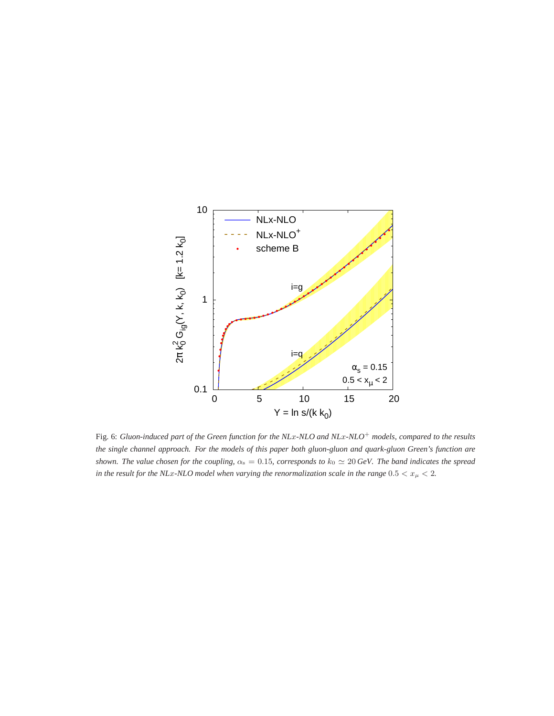

Fig. 6: *Gluon-induced part of the Green function for the NL*x*-NLO and NL*x*-NLO*<sup>+</sup> *models, compared to the results the single channel approach. For the models of this paper both gluon-gluon and quark-gluon Green's function are shown. The value chosen for the coupling,*  $\alpha_s = 0.15$ *, corresponds to*  $k_0 \simeq 20$  *GeV. The band indicates the spread in the result for the NLx-NLO model when varying the renormalization scale in the range*  $0.5 < x_{\mu} < 2$ *.*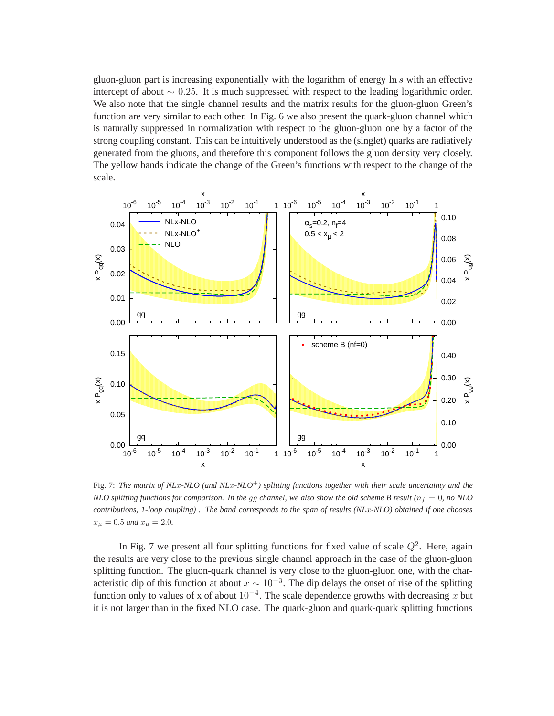gluon-gluon part is increasing exponentially with the logarithm of energy ln s with an effective intercept of about  $∼ 0.25$ . It is much suppressed with respect to the leading logarithmic order. We also note that the single channel results and the matrix results for the gluon-gluon Green's function are very similar to each other. In Fig. 6 we also present the quark-gluon channel which is naturally suppressed in normalization with respect to the gluon-gluon one by a factor of the strong coupling constant. This can be intuitively understood as the (singlet) quarks are radiatively generated from the gluons, and therefore this component follows the gluon density very closely. The yellow bands indicate the change of the Green's functions with respect to the change of the scale.



Fig. 7: *The matrix of NL*x*-NLO (and NL*x*-NLO*<sup>+</sup>*) splitting functions together with their scale uncertainty and the NLO splitting functions for comparison. In the gg channel, we also show the old scheme B result* ( $n_f = 0$ , no NLO *contributions, 1-loop coupling) . The band corresponds to the span of results (NL*x*-NLO) obtained if one chooses*  $x_{\mu} = 0.5$  *and*  $x_{\mu} = 2.0$ .

In Fig. 7 we present all four splitting functions for fixed value of scale  $Q^2$ . Here, again the results are very close to the previous single channel approach in the case of the gluon-gluon splitting function. The gluon-quark channel is very close to the gluon-gluon one, with the characteristic dip of this function at about  $x \sim 10^{-3}$ . The dip delays the onset of rise of the splitting function only to values of x of about  $10^{-4}$ . The scale dependence growths with decreasing x but it is not larger than in the fixed NLO case. The quark-gluon and quark-quark splitting functions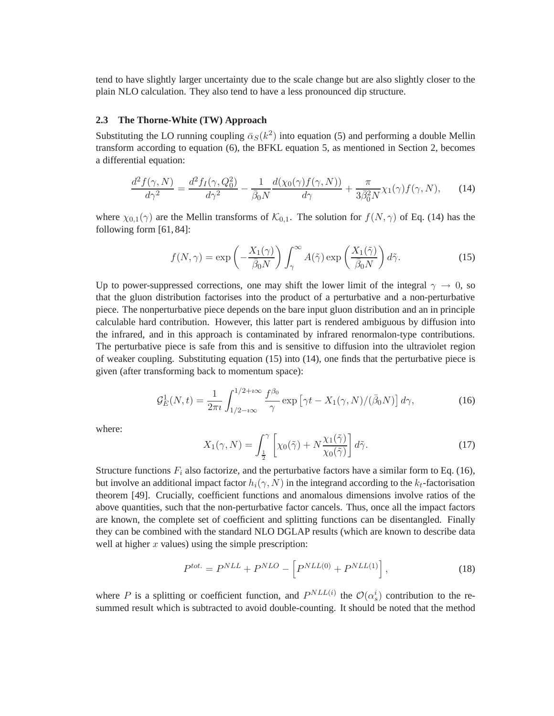tend to have slightly larger uncertainty due to the scale change but are also slightly closer to the plain NLO calculation. They also tend to have a less pronounced dip structure.

### **2.3 The Thorne-White (TW) Approach**

Substituting the LO running coupling  $\bar{\alpha}_S(k^2)$  into equation (5) and performing a double Mellin transform according to equation (6), the BFKL equation 5, as mentioned in Section 2, becomes a differential equation:

$$
\frac{d^2f(\gamma, N)}{d\gamma^2} = \frac{d^2f_I(\gamma, Q_0^2)}{d\gamma^2} - \frac{1}{\bar{\beta}_0 N} \frac{d(\chi_0(\gamma)f(\gamma, N))}{d\gamma} + \frac{\pi}{3\bar{\beta}_0^2 N} \chi_1(\gamma)f(\gamma, N),\tag{14}
$$

where  $\chi_{0,1}(\gamma)$  are the Mellin transforms of  $\mathcal{K}_{0,1}$ . The solution for  $f(N,\gamma)$  of Eq. (14) has the following form [61, 84]:

$$
f(N,\gamma) = \exp\left(-\frac{X_1(\gamma)}{\bar{\beta}_0 N}\right) \int_{\gamma}^{\infty} A(\tilde{\gamma}) \exp\left(\frac{X_1(\tilde{\gamma})}{\bar{\beta}_0 N}\right) d\tilde{\gamma}.
$$
 (15)

Up to power-suppressed corrections, one may shift the lower limit of the integral  $\gamma \to 0$ , so that the gluon distribution factorises into the product of a perturbative and a non-perturbative piece. The nonperturbative piece depends on the bare input gluon distribution and an in principle calculable hard contribution. However, this latter part is rendered ambiguous by diffusion into the infrared, and in this approach is contaminated by infrared renormalon-type contributions. The perturbative piece is safe from this and is sensitive to diffusion into the ultraviolet region of weaker coupling. Substituting equation (15) into (14), one finds that the perturbative piece is given (after transforming back to momentum space):

$$
\mathcal{G}_E^1(N,t) = \frac{1}{2\pi i} \int_{1/2 - i\infty}^{1/2 + i\infty} \frac{f^{\beta_0}}{\gamma} \exp\left[\gamma t - X_1(\gamma, N)/(\bar{\beta}_0 N)\right] d\gamma,\tag{16}
$$

where:

$$
X_1(\gamma, N) = \int_{\frac{1}{2}}^{\gamma} \left[ \chi_0(\tilde{\gamma}) + N \frac{\chi_1(\tilde{\gamma})}{\chi_0(\tilde{\gamma})} \right] d\tilde{\gamma}.
$$
 (17)

Structure functions  $F_i$  also factorize, and the perturbative factors have a similar form to Eq. (16), but involve an additional impact factor  $h_i(\gamma, N)$  in the integrand according to the  $k_t$ -factorisation theorem [49]. Crucially, coefficient functions and anomalous dimensions involve ratios of the above quantities, such that the non-perturbative factor cancels. Thus, once all the impact factors are known, the complete set of coefficient and splitting functions can be disentangled. Finally they can be combined with the standard NLO DGLAP results (which are known to describe data well at higher  $x$  values) using the simple prescription:

$$
Ptot. = PNLL + PNLO - \left[ PNLL(0) + PNLL(1) \right],
$$
 (18)

where P is a splitting or coefficient function, and  $P^{NLL(i)}$  the  $\mathcal{O}(\alpha_s^i)$  contribution to the resummed result which is subtracted to avoid double-counting. It should be noted that the method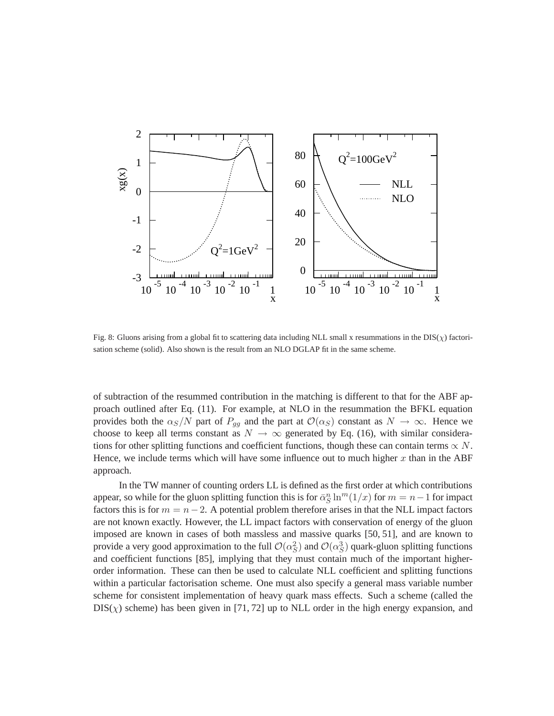

Fig. 8: Gluons arising from a global fit to scattering data including NLL small x resummations in the  $DIS(\chi)$  factorisation scheme (solid). Also shown is the result from an NLO DGLAP fit in the same scheme.

of subtraction of the resummed contribution in the matching is different to that for the ABF approach outlined after Eq. (11). For example, at NLO in the resummation the BFKL equation provides both the  $\alpha_S/N$  part of  $P_{gg}$  and the part at  $\mathcal{O}(\alpha_S)$  constant as  $N \to \infty$ . Hence we choose to keep all terms constant as  $N \to \infty$  generated by Eq. (16), with similar considerations for other splitting functions and coefficient functions, though these can contain terms  $\propto N$ . Hence, we include terms which will have some influence out to much higher  $x$  than in the ABF approach.

In the TW manner of counting orders LL is defined as the first order at which contributions appear, so while for the gluon splitting function this is for  $\bar{\alpha}_S^n \ln^m(1/x)$  for  $m = n - 1$  for impact factors this is for  $m = n - 2$ . A potential problem therefore arises in that the NLL impact factors are not known exactly. However, the LL impact factors with conservation of energy of the gluon imposed are known in cases of both massless and massive quarks [50, 51], and are known to provide a very good approximation to the full  $\mathcal{O}(\alpha_S^2)$  and  $\mathcal{O}(\alpha_S^3)$  quark-gluon splitting functions and coefficient functions [85], implying that they must contain much of the important higherorder information. These can then be used to calculate NLL coefficient and splitting functions within a particular factorisation scheme. One must also specify a general mass variable number scheme for consistent implementation of heavy quark mass effects. Such a scheme (called the  $DIS(\chi)$  scheme) has been given in [71, 72] up to NLL order in the high energy expansion, and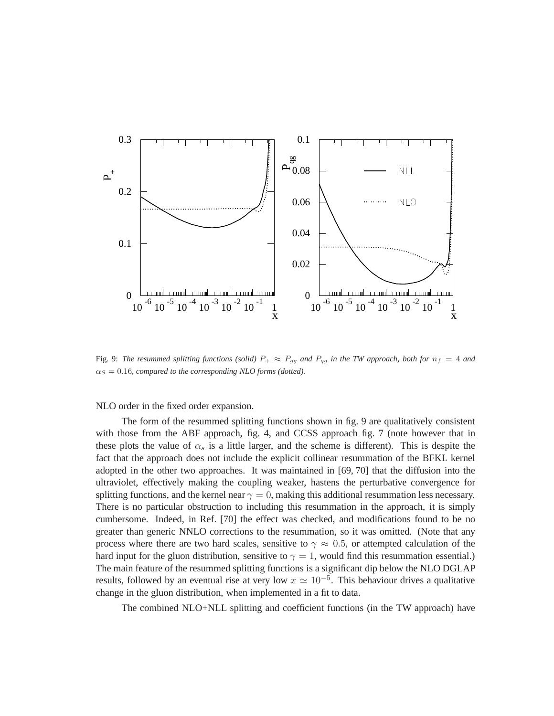

Fig. 9: *The resummed splitting functions (solid)*  $P_+ \approx P_{gg}$  *and*  $P_{qg}$  *in the TW approach, both for*  $n_f = 4$  *and*  $\alpha_S = 0.16$ *, compared to the corresponding NLO forms (dotted).* 

NLO order in the fixed order expansion.

The form of the resummed splitting functions shown in fig. 9 are qualitatively consistent with those from the ABF approach, fig. 4, and CCSS approach fig. 7 (note however that in these plots the value of  $\alpha_s$  is a little larger, and the scheme is different). This is despite the fact that the approach does not include the explicit collinear resummation of the BFKL kernel adopted in the other two approaches. It was maintained in [69, 70] that the diffusion into the ultraviolet, effectively making the coupling weaker, hastens the perturbative convergence for splitting functions, and the kernel near  $\gamma = 0$ , making this additional resummation less necessary. There is no particular obstruction to including this resummation in the approach, it is simply cumbersome. Indeed, in Ref. [70] the effect was checked, and modifications found to be no greater than generic NNLO corrections to the resummation, so it was omitted. (Note that any process where there are two hard scales, sensitive to  $\gamma \approx 0.5$ , or attempted calculation of the hard input for the gluon distribution, sensitive to  $\gamma = 1$ , would find this resummation essential.) The main feature of the resummed splitting functions is a significant dip below the NLO DGLAP results, followed by an eventual rise at very low  $x \approx 10^{-5}$ . This behaviour drives a qualitative change in the gluon distribution, when implemented in a fit to data.

The combined NLO+NLL splitting and coefficient functions (in the TW approach) have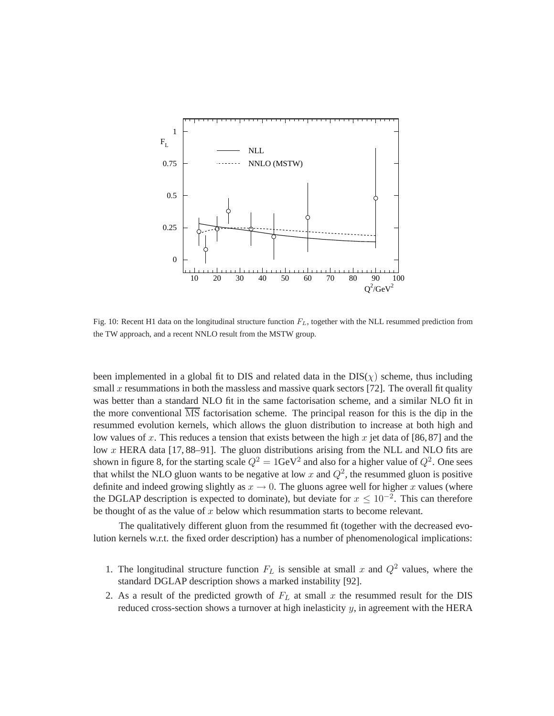

Fig. 10: Recent H1 data on the longitudinal structure function  $F<sub>L</sub>$ , together with the NLL resummed prediction from the TW approach, and a recent NNLO result from the MSTW group.

been implemented in a global fit to DIS and related data in the  $DIS(\chi)$  scheme, thus including small x resummations in both the massless and massive quark sectors [72]. The overall fit quality was better than a standard NLO fit in the same factorisation scheme, and a similar NLO fit in the more conventional  $\overline{\text{MS}}$  factorisation scheme. The principal reason for this is the dip in the resummed evolution kernels, which allows the gluon distribution to increase at both high and low values of x. This reduces a tension that exists between the high x jet data of [86,87] and the low x HERA data [17, 88–91]. The gluon distributions arising from the NLL and NLO fits are shown in figure 8, for the starting scale  $Q^2 = 1$ GeV<sup>2</sup> and also for a higher value of  $Q^2$ . One sees that whilst the NLO gluon wants to be negative at low x and  $Q^2$ , the resummed gluon is positive definite and indeed growing slightly as  $x \to 0$ . The gluons agree well for higher x values (where the DGLAP description is expected to dominate), but deviate for  $x \leq 10^{-2}$ . This can therefore be thought of as the value of  $x$  below which resummation starts to become relevant.

The qualitatively different gluon from the resummed fit (together with the decreased evolution kernels w.r.t. the fixed order description) has a number of phenomenological implications:

- 1. The longitudinal structure function  $F<sub>L</sub>$  is sensible at small x and  $Q<sup>2</sup>$  values, where the standard DGLAP description shows a marked instability [92].
- 2. As a result of the predicted growth of  $F<sub>L</sub>$  at small x the resummed result for the DIS reduced cross-section shows a turnover at high inelasticity  $y$ , in agreement with the HERA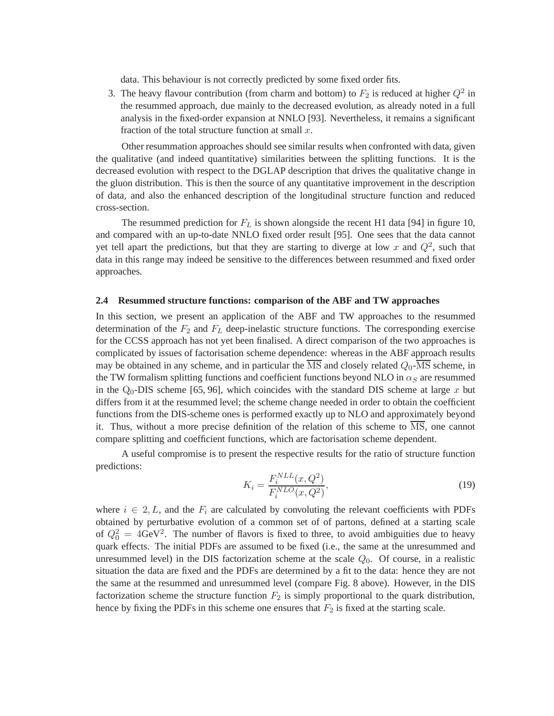data. This behaviour is not correctly predicted by some fixed order fits.

3. The heavy flavour contribution (from charm and bottom) to  $F_2$  is reduced at higher  $Q^2$  in the resummed approach, due mainly to the decreased evolution, as already noted in a full analysis in the fixed-order expansion at NNLO [93]. Nevertheless, it remains a significant fraction of the total structure function at small  $x$ .

Other resummation approaches should see similar results when confronted with data, given the qualitative (and indeed quantitative) similarities between the splitting functions. It is the decreased evolution with respect to the DGLAP description that drives the qualitative change in the gluon distribution. This is then the source of any quantitative improvement in the description of data, and also the enhanced description of the longitudinal structure function and reduced cross-section.

The resummed prediction for  $F_L$  is shown alongside the recent H1 data [94] in figure 10, and compared with an up-to-date NNLO fixed order result [95]. One sees that the data cannot yet tell apart the predictions, but that they are starting to diverge at low x and  $Q^2$ , such that data in this range may indeed be sensitive to the differences between resummed and fixed order approaches.

#### **2.4 Resummed structure functions: comparison of the ABF and TW approaches**

In this section, we present an application of the ABF and TW approaches to the resummed determination of the  $F_2$  and  $F_L$  deep-inelastic structure functions. The corresponding exercise for the CCSS approach has not yet been finalised. A direct comparison of the two approaches is complicated by issues of factorisation scheme dependence: whereas in the ABF approach results may be obtained in any scheme, and in particular the  $\overline{\text{MS}}$  and closely related  $Q_0$ - $\overline{\text{MS}}$  scheme, in the TW formalism splitting functions and coefficient functions beyond NLO in  $\alpha_S$  are resummed in the  $Q_0$ -DIS scheme [65, 96], which coincides with the standard DIS scheme at large x but differs from it at the resummed level; the scheme change needed in order to obtain the coefficient functions from the DIS-scheme ones is performed exactly up to NLO and approximately beyond it. Thus, without a more precise definition of the relation of this scheme to  $\overline{\text{MS}}$ , one cannot compare splitting and coefficient functions, which are factorisation scheme dependent.

A useful compromise is to present the respective results for the ratio of structure function predictions:

$$
K_i = \frac{F_i^{NLL}(x, Q^2)}{F_i^{NLO}(x, Q^2)},
$$
\n(19)

where  $i \in 2, L$ , and the  $F_i$  are calculated by convoluting the relevant coefficients with PDFs obtained by perturbative evolution of a common set of of partons, defined at a starting scale of  $Q_0^2 = 4 \text{GeV}^2$ . The number of flavors is fixed to three, to avoid ambiguities due to heavy quark effects. The initial PDFs are assumed to be fixed (i.e., the same at the unresummed and unresummed level) in the DIS factorization scheme at the scale  $Q_0$ . Of course, in a realistic situation the data are fixed and the PDFs are determined by a fit to the data: hence they are not the same at the resummed and unresummed level (compare Fig. 8 above). However, in the DIS factorization scheme the structure function  $F_2$  is simply proportional to the quark distribution, hence by fixing the PDFs in this scheme one ensures that  $F_2$  is fixed at the starting scale.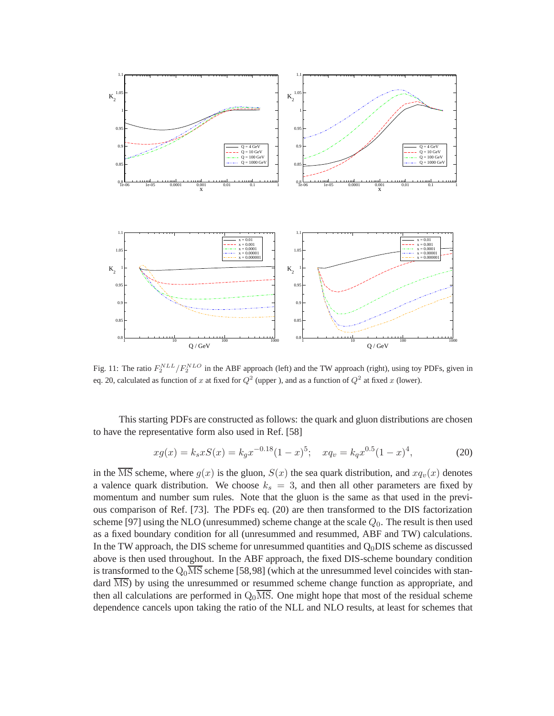

Fig. 11: The ratio  $F_2^{NLL}/F_2^{NLO}$  in the ABF approach (left) and the TW approach (right), using toy PDFs, given in eq. 20, calculated as function of x at fixed for  $Q^2$  (upper ), and as a function of  $Q^2$  at fixed x (lower).

This starting PDFs are constructed as follows: the quark and gluon distributions are chosen to have the representative form also used in Ref. [58]

$$
xg(x) = k_s x S(x) = k_g x^{-0.18} (1 - x)^5; \quad xq_v = k_q x^{0.5} (1 - x)^4,
$$
 (20)

in the  $\overline{\text{MS}}$  scheme, where  $g(x)$  is the gluon,  $S(x)$  the sea quark distribution, and  $xq_v(x)$  denotes a valence quark distribution. We choose  $k_s = 3$ , and then all other parameters are fixed by momentum and number sum rules. Note that the gluon is the same as that used in the previous comparison of Ref. [73]. The PDFs eq. (20) are then transformed to the DIS factorization scheme [97] using the NLO (unresummed) scheme change at the scale  $Q_0$ . The result is then used as a fixed boundary condition for all (unresummed and resummed, ABF and TW) calculations. In the TW approach, the DIS scheme for unresummed quantities and  $Q_0$ DIS scheme as discussed above is then used throughout. In the ABF approach, the fixed DIS-scheme boundary condition is transformed to the  $Q_0\overline{\text{MS}}$  scheme [58,98] (which at the unresummed level coincides with standard  $\overline{\text{MS}}$ ) by using the unresummed or resummed scheme change function as appropriate, and then all calculations are performed in  $Q_0\overline{\text{MS}}$ . One might hope that most of the residual scheme dependence cancels upon taking the ratio of the NLL and NLO results, at least for schemes that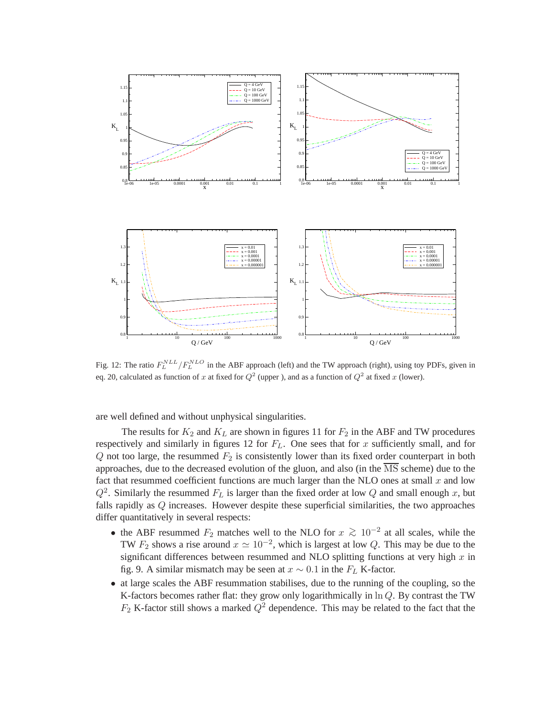

Fig. 12: The ratio  $F_L^{NLL}/F_L^{NLO}$  in the ABF approach (left) and the TW approach (right), using toy PDFs, given in eq. 20, calculated as function of x at fixed for  $Q^2$  (upper ), and as a function of  $Q^2$  at fixed x (lower).

are well defined and without unphysical singularities.

The results for  $K_2$  and  $K_L$  are shown in figures 11 for  $F_2$  in the ABF and TW procedures respectively and similarly in figures 12 for  $F<sub>L</sub>$ . One sees that for x sufficiently small, and for  $Q$  not too large, the resummed  $F_2$  is consistently lower than its fixed order counterpart in both approaches, due to the decreased evolution of the gluon, and also (in the  $\overline{\text{MS}}$  scheme) due to the fact that resummed coefficient functions are much larger than the NLO ones at small  $x$  and low  $Q^2$ . Similarly the resummed  $F_L$  is larger than the fixed order at low Q and small enough x, but falls rapidly as Q increases. However despite these superficial similarities, the two approaches differ quantitatively in several respects:

- the ABF resummed  $F_2$  matches well to the NLO for  $x \ge 10^{-2}$  at all scales, while the TW  $F_2$  shows a rise around  $x \simeq 10^{-2}$ , which is largest at low Q. This may be due to the significant differences between resummed and NLO splitting functions at very high  $x$  in fig. 9. A similar mismatch may be seen at  $x \sim 0.1$  in the  $F_L$  K-factor.
- at large scales the ABF resummation stabilises, due to the running of the coupling, so the K-factors becomes rather flat: they grow only logarithmically in  $\ln Q$ . By contrast the TW  $F_2$  K-factor still shows a marked  $Q^2$  dependence. This may be related to the fact that the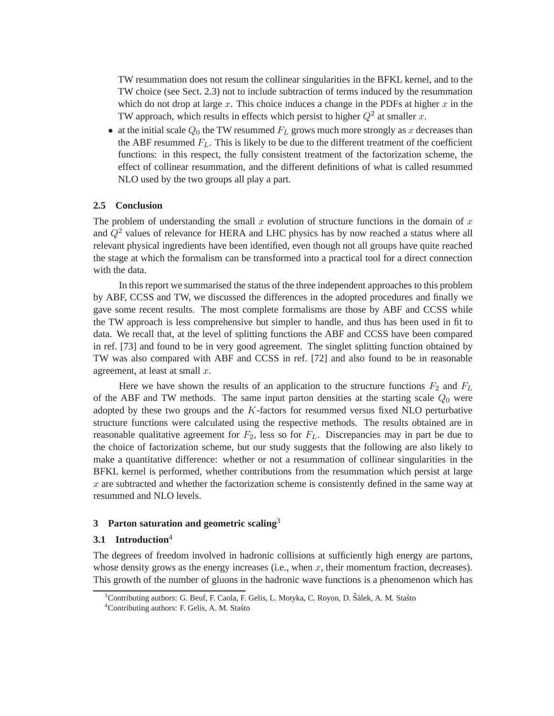TW resummation does not resum the collinear singularities in the BFKL kernel, and to the TW choice (see Sect. 2.3) not to include subtraction of terms induced by the resummation which do not drop at large  $x$ . This choice induces a change in the PDFs at higher  $x$  in the TW approach, which results in effects which persist to higher  $Q^2$  at smaller x.

• at the initial scale  $Q_0$  the TW resummed  $F_L$  grows much more strongly as x decreases than the ABF resummed  $F<sub>L</sub>$ . This is likely to be due to the different treatment of the coefficient functions: in this respect, the fully consistent treatment of the factorization scheme, the effect of collinear resummation, and the different definitions of what is called resummed NLO used by the two groups all play a part.

### **2.5 Conclusion**

The problem of understanding the small x evolution of structure functions in the domain of x and  $Q<sup>2</sup>$  values of relevance for HERA and LHC physics has by now reached a status where all relevant physical ingredients have been identified, even though not all groups have quite reached the stage at which the formalism can be transformed into a practical tool for a direct connection with the data.

In this report we summarised the status of the three independent approaches to this problem by ABF, CCSS and TW, we discussed the differences in the adopted procedures and finally we gave some recent results. The most complete formalisms are those by ABF and CCSS while the TW approach is less comprehensive but simpler to handle, and thus has been used in fit to data. We recall that, at the level of splitting functions the ABF and CCSS have been compared in ref. [73] and found to be in very good agreement. The singlet splitting function obtained by TW was also compared with ABF and CCSS in ref. [72] and also found to be in reasonable agreement, at least at small  $x$ .

Here we have shown the results of an application to the structure functions  $F_2$  and  $F_L$ of the ABF and TW methods. The same input parton densities at the starting scale  $Q_0$  were adopted by these two groups and the  $K$ -factors for resummed versus fixed NLO perturbative structure functions were calculated using the respective methods. The results obtained are in reasonable qualitative agreement for  $F_2$ , less so for  $F_L$ . Discrepancies may in part be due to the choice of factorization scheme, but our study suggests that the following are also likely to make a quantitative difference: whether or not a resummation of collinear singularities in the BFKL kernel is performed, whether contributions from the resummation which persist at large  $x$  are subtracted and whether the factorization scheme is consistently defined in the same way at resummed and NLO levels.

## **3 Parton saturation and geometric scaling**<sup>3</sup>

#### **3.1 Introduction**<sup>4</sup>

The degrees of freedom involved in hadronic collisions at sufficiently high energy are partons, whose density grows as the energy increases (i.e., when  $x$ , their momentum fraction, decreases). This growth of the number of gluons in the hadronic wave functions is a phenomenon which has

<sup>&</sup>lt;sup>3</sup>Contributing authors: G. Beuf, F. Caola, F. Gelis, L. Motyka, C. Royon, D. Šálek, A. M. Stasto

<sup>&</sup>lt;sup>4</sup>Contributing authors: F. Gelis, A. M. Stasto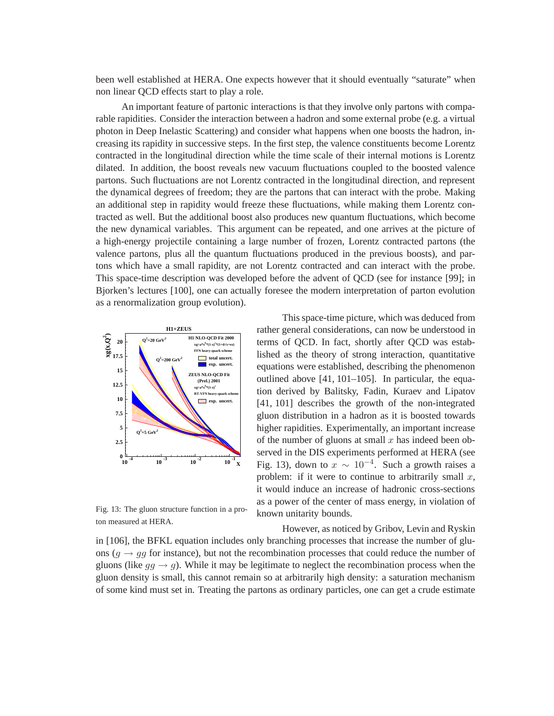been well established at HERA. One expects however that it should eventually "saturate" when non linear QCD effects start to play a role.

An important feature of partonic interactions is that they involve only partons with comparable rapidities. Consider the interaction between a hadron and some external probe (e.g. a virtual photon in Deep Inelastic Scattering) and consider what happens when one boosts the hadron, increasing its rapidity in successive steps. In the first step, the valence constituents become Lorentz contracted in the longitudinal direction while the time scale of their internal motions is Lorentz dilated. In addition, the boost reveals new vacuum fluctuations coupled to the boosted valence partons. Such fluctuations are not Lorentz contracted in the longitudinal direction, and represent the dynamical degrees of freedom; they are the partons that can interact with the probe. Making an additional step in rapidity would freeze these fluctuations, while making them Lorentz contracted as well. But the additional boost also produces new quantum fluctuations, which become the new dynamical variables. This argument can be repeated, and one arrives at the picture of a high-energy projectile containing a large number of frozen, Lorentz contracted partons (the valence partons, plus all the quantum fluctuations produced in the previous boosts), and partons which have a small rapidity, are not Lorentz contracted and can interact with the probe. This space-time description was developed before the advent of QCD (see for instance [99]; in Bjorken's lectures [100], one can actually foresee the modern interpretation of parton evolution as a renormalization group evolution).



Fig. 13: The gluon structure function in a proton measured at HERA.

This space-time picture, which was deduced from rather general considerations, can now be understood in terms of QCD. In fact, shortly after QCD was established as the theory of strong interaction, quantitative equations were established, describing the phenomenon outlined above [41, 101–105]. In particular, the equation derived by Balitsky, Fadin, Kuraev and Lipatov [41, 101] describes the growth of the non-integrated gluon distribution in a hadron as it is boosted towards higher rapidities. Experimentally, an important increase of the number of gluons at small  $x$  has indeed been observed in the DIS experiments performed at HERA (see Fig. 13), down to  $x \sim 10^{-4}$ . Such a growth raises a problem: if it were to continue to arbitrarily small  $x$ , it would induce an increase of hadronic cross-sections as a power of the center of mass energy, in violation of known unitarity bounds.

However, as noticed by Gribov, Levin and Ryskin in [106], the BFKL equation includes only branching processes that increase the number of gluons ( $q \rightarrow qq$  for instance), but not the recombination processes that could reduce the number of gluons (like  $gg \rightarrow g$ ). While it may be legitimate to neglect the recombination process when the gluon density is small, this cannot remain so at arbitrarily high density: a saturation mechanism of some kind must set in. Treating the partons as ordinary particles, one can get a crude estimate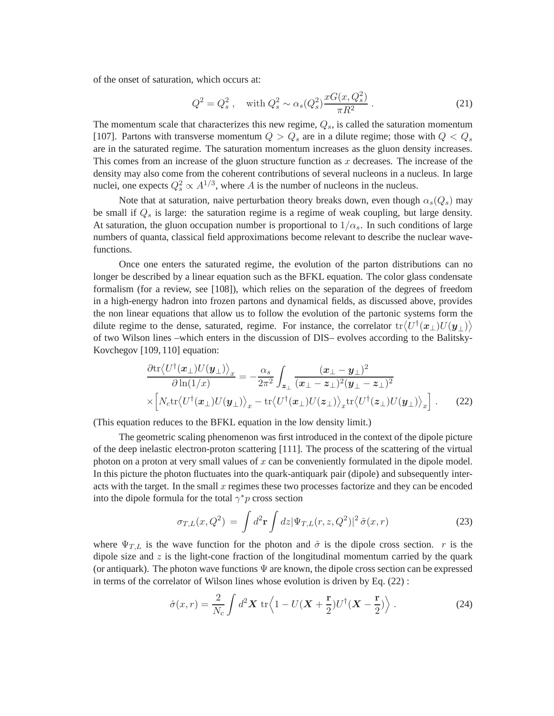of the onset of saturation, which occurs at:

$$
Q^2 = Q_s^2, \quad \text{with } Q_s^2 \sim \alpha_s(Q_s^2) \frac{xG(x, Q_s^2)}{\pi R^2} \,. \tag{21}
$$

The momentum scale that characterizes this new regime,  $Q_s$ , is called the saturation momentum [107]. Partons with transverse momentum  $Q > Q_s$  are in a dilute regime; those with  $Q < Q_s$ are in the saturated regime. The saturation momentum increases as the gluon density increases. This comes from an increase of the gluon structure function as  $x$  decreases. The increase of the density may also come from the coherent contributions of several nucleons in a nucleus. In large nuclei, one expects  $Q_s^2 \propto A^{1/3}$ , where A is the number of nucleons in the nucleus.

Note that at saturation, naive perturbation theory breaks down, even though  $\alpha_s(Q_s)$  may be small if  $Q_s$  is large: the saturation regime is a regime of weak coupling, but large density. At saturation, the gluon occupation number is proportional to  $1/\alpha_s$ . In such conditions of large numbers of quanta, classical field approximations become relevant to describe the nuclear wavefunctions.

Once one enters the saturated regime, the evolution of the parton distributions can no longer be described by a linear equation such as the BFKL equation. The color glass condensate formalism (for a review, see [108]), which relies on the separation of the degrees of freedom in a high-energy hadron into frozen partons and dynamical fields, as discussed above, provides the non linear equations that allow us to follow the evolution of the partonic systems form the dilute regime to the dense, saturated, regime. For instance, the correlator  $\text{tr}\langle U^\dagger(\bm{x}_\perp)U(\bm{y}_\perp)\rangle$ of two Wilson lines –which enters in the discussion of DIS– evolves according to the Balitsky-Kovchegov [109, 110] equation:

$$
\frac{\partial \text{tr}\langle U^{\dagger}(\boldsymbol{x}_{\perp})U(\boldsymbol{y}_{\perp})\rangle_{x}}{\partial \ln(1/x)} = -\frac{\alpha_{s}}{2\pi^{2}} \int_{\boldsymbol{z}_{\perp}} \frac{(\boldsymbol{x}_{\perp} - \boldsymbol{y}_{\perp})^{2}}{(\boldsymbol{x}_{\perp} - \boldsymbol{z}_{\perp})^{2} (\boldsymbol{y}_{\perp} - \boldsymbol{z}_{\perp})^{2}} \times \left[N_{c} \text{tr}\langle U^{\dagger}(\boldsymbol{x}_{\perp})U(\boldsymbol{y}_{\perp})\rangle_{x} - \text{tr}\langle U^{\dagger}(\boldsymbol{x}_{\perp})U(\boldsymbol{z}_{\perp})\rangle_{x} \text{tr}\langle U^{\dagger}(\boldsymbol{z}_{\perp})U(\boldsymbol{y}_{\perp})\rangle_{x}\right].
$$
\n(22)

(This equation reduces to the BFKL equation in the low density limit.)

The geometric scaling phenomenon was first introduced in the context of the dipole picture of the deep inelastic electron-proton scattering [111]. The process of the scattering of the virtual photon on a proton at very small values of  $x$  can be conveniently formulated in the dipole model. In this picture the photon fluctuates into the quark-antiquark pair (dipole) and subsequently interacts with the target. In the small  $x$  regimes these two processes factorize and they can be encoded into the dipole formula for the total  $\gamma^* p$  cross section

$$
\sigma_{T,L}(x,Q^2) = \int d^2 \mathbf{r} \int dz |\Psi_{T,L}(r,z,Q^2)|^2 \,\hat{\sigma}(x,r) \tag{23}
$$

where  $\Psi_{T,L}$  is the wave function for the photon and  $\hat{\sigma}$  is the dipole cross section. r is the dipole size and  $z$  is the light-cone fraction of the longitudinal momentum carried by the quark (or antiquark). The photon wave functions  $\Psi$  are known, the dipole cross section can be expressed in terms of the correlator of Wilson lines whose evolution is driven by Eq. (22) :

$$
\hat{\sigma}(x,r) = \frac{2}{N_c} \int d^2 \mathbf{X} \, \text{tr} \left\langle 1 - U(\mathbf{X} + \frac{\mathbf{r}}{2}) U^{\dagger} (\mathbf{X} - \frac{\mathbf{r}}{2}) \right\rangle. \tag{24}
$$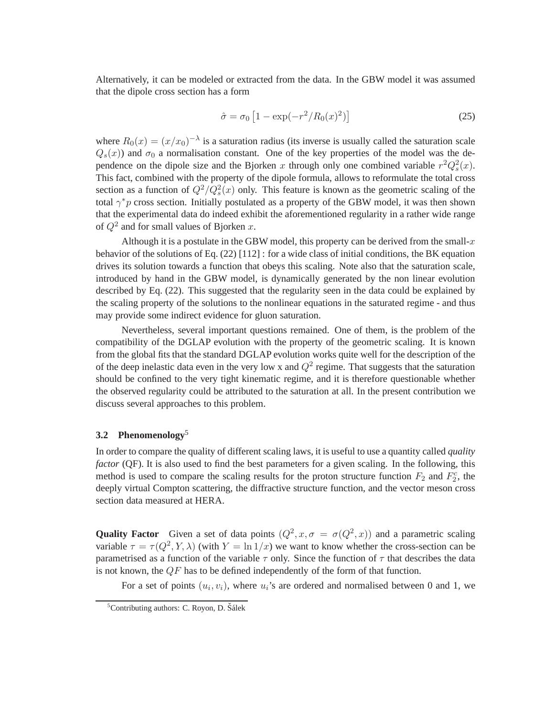Alternatively, it can be modeled or extracted from the data. In the GBW model it was assumed that the dipole cross section has a form

$$
\hat{\sigma} = \sigma_0 \left[ 1 - \exp(-r^2 / R_0(x)^2) \right] \tag{25}
$$

where  $R_0(x) = (x/x_0)^{-\lambda}$  is a saturation radius (its inverse is usually called the saturation scale  $Q_s(x)$ ) and  $\sigma_0$  a normalisation constant. One of the key properties of the model was the dependence on the dipole size and the Bjorken x through only one combined variable  $r^2Q_s^2(x)$ . This fact, combined with the property of the dipole formula, allows to reformulate the total cross section as a function of  $Q^2/Q_s^2(x)$  only. This feature is known as the geometric scaling of the total  $\gamma^* p$  cross section. Initially postulated as a property of the GBW model, it was then shown that the experimental data do indeed exhibit the aforementioned regularity in a rather wide range of  $Q^2$  and for small values of Bjorken x.

Although it is a postulate in the GBW model, this property can be derived from the small- $x$ behavior of the solutions of Eq. (22) [112] : for a wide class of initial conditions, the BK equation drives its solution towards a function that obeys this scaling. Note also that the saturation scale, introduced by hand in the GBW model, is dynamically generated by the non linear evolution described by Eq. (22). This suggested that the regularity seen in the data could be explained by the scaling property of the solutions to the nonlinear equations in the saturated regime - and thus may provide some indirect evidence for gluon saturation.

Nevertheless, several important questions remained. One of them, is the problem of the compatibility of the DGLAP evolution with the property of the geometric scaling. It is known from the global fits that the standard DGLAP evolution works quite well for the description of the of the deep inelastic data even in the very low x and  $Q^2$  regime. That suggests that the saturation should be confined to the very tight kinematic regime, and it is therefore questionable whether the observed regularity could be attributed to the saturation at all. In the present contribution we discuss several approaches to this problem.

## **3.2 Phenomenology**<sup>5</sup>

In order to compare the quality of different scaling laws, it is useful to use a quantity called *quality factor* (QF). It is also used to find the best parameters for a given scaling. In the following, this method is used to compare the scaling results for the proton structure function  $F_2$  and  $F_2^c$ , the deeply virtual Compton scattering, the diffractive structure function, and the vector meson cross section data measured at HERA.

**Quality Factor** Given a set of data points  $(Q^2, x, \sigma = \sigma(Q^2, x))$  and a parametric scaling variable  $\tau = \tau(Q^2, Y, \lambda)$  (with  $Y = \ln 1/x$ ) we want to know whether the cross-section can be parametrised as a function of the variable  $\tau$  only. Since the function of  $\tau$  that describes the data is not known, the  $QF$  has to be defined independently of the form of that function.

For a set of points  $(u_i, v_i)$ , where  $u_i$ 's are ordered and normalised between 0 and 1, we

 $5$ Contributing authors: C. Royon, D. Šálek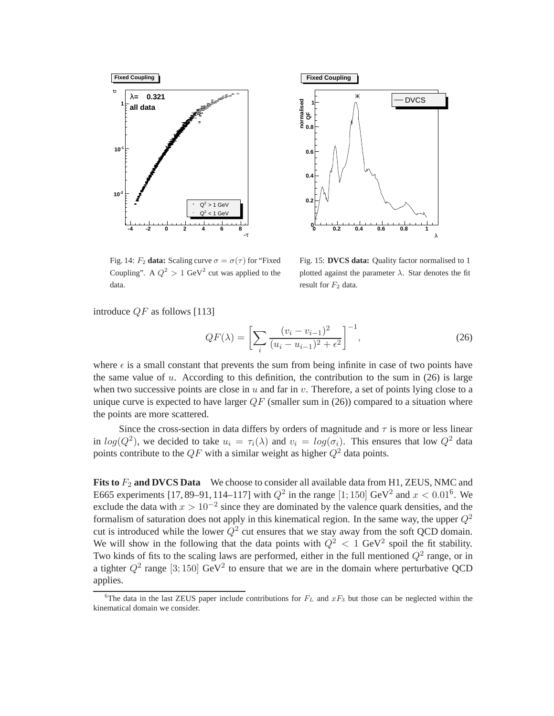



Fig. 14:  $F_2$  **data:** Scaling curve  $\sigma = \sigma(\tau)$  for "Fixed" Coupling". A  $Q^2 > 1$  GeV<sup>2</sup> cut was applied to the data.

Fig. 15: **DVCS data:** Quality factor normalised to 1 plotted against the parameter  $\lambda$ . Star denotes the fit result for  $F_2$  data.

introduce  $QF$  as follows [113]

$$
QF(\lambda) = \left[\sum_{i} \frac{(v_i - v_{i-1})^2}{(u_i - u_{i-1})^2 + \epsilon^2}\right]^{-1},\tag{26}
$$

where  $\epsilon$  is a small constant that prevents the sum from being infinite in case of two points have the same value of  $u$ . According to this definition, the contribution to the sum in (26) is large when two successive points are close in  $u$  and far in  $v$ . Therefore, a set of points lying close to a unique curve is expected to have larger  $QF$  (smaller sum in (26)) compared to a situation where the points are more scattered.

Since the cross-section in data differs by orders of magnitude and  $\tau$  is more or less linear in  $log(Q^2)$ , we decided to take  $u_i = \tau_i(\lambda)$  and  $v_i = log(\sigma_i)$ . This ensures that low  $Q^2$  data points contribute to the  $QF$  with a similar weight as higher  $Q^2$  data points.

**Fits to**  $F_2$  **and DVCS Data** We choose to consider all available data from H1, ZEUS, NMC and E665 experiments [17, 89–91, 114–117] with  $Q^2$  in the range [1; 150] GeV<sup>2</sup> and  $x < 0.01^6$ . We exclude the data with  $x > 10^{-2}$  since they are dominated by the valence quark densities, and the formalism of saturation does not apply in this kinematical region. In the same way, the upper  $Q^2$ cut is introduced while the lower  $Q^2$  cut ensures that we stay away from the soft QCD domain. We will show in the following that the data points with  $Q^2 < 1$  GeV<sup>2</sup> spoil the fit stability. Two kinds of fits to the scaling laws are performed, either in the full mentioned  $Q^2$  range, or in a tighter  $Q^2$  range [3; 150] GeV<sup>2</sup> to ensure that we are in the domain where perturbative QCD applies.

<sup>&</sup>lt;sup>6</sup>The data in the last ZEUS paper include contributions for  $F<sub>L</sub>$  and  $xF<sub>3</sub>$  but those can be neglected within the kinematical domain we consider.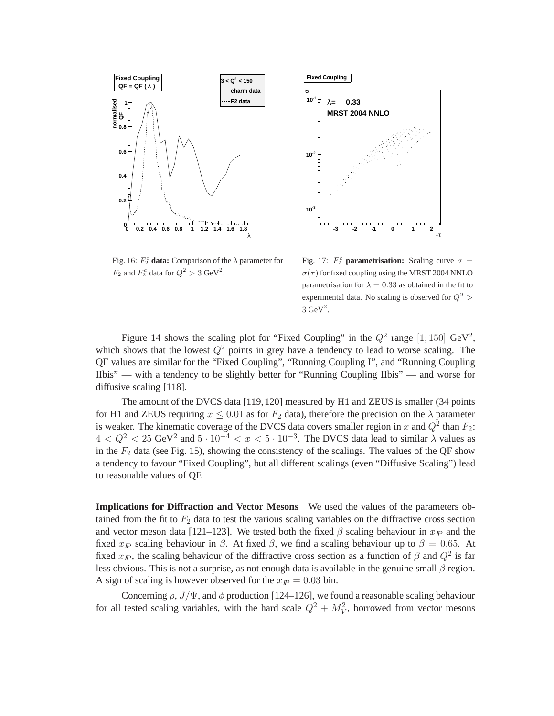



Fig. 16:  $F_2^c$  **data:** Comparison of the  $\lambda$  parameter for  $F_2$  and  $F_2^c$  data for  $Q^2 > 3$  GeV<sup>2</sup>.

Fig. 17:  $F_2^c$  **parametrisation:** Scaling curve  $\sigma$  =  $\sigma(\tau)$  for fixed coupling using the MRST 2004 NNLO parametrisation for  $\lambda = 0.33$  as obtained in the fit to experimental data. No scaling is observed for  $Q^2$  >  $3 \text{ GeV}^2$ .

Figure 14 shows the scaling plot for "Fixed Coupling" in the  $Q^2$  range [1; 150] GeV<sup>2</sup>, which shows that the lowest  $Q^2$  points in grey have a tendency to lead to worse scaling. The QF values are similar for the "Fixed Coupling", "Running Coupling I", and "Running Coupling IIbis" — with a tendency to be slightly better for "Running Coupling IIbis" — and worse for diffusive scaling [118].

The amount of the DVCS data [119,120] measured by H1 and ZEUS is smaller (34 points for H1 and ZEUS requiring  $x \le 0.01$  as for  $F_2$  data), therefore the precision on the  $\lambda$  parameter is weaker. The kinematic coverage of the DVCS data covers smaller region in x and  $Q^2$  than  $F_2$ :  $4 < Q^2 < 25 \text{ GeV}^2$  and  $5 \cdot 10^{-4} < x < 5 \cdot 10^{-3}$ . The DVCS data lead to similar  $\lambda$  values as in the  $F_2$  data (see Fig. 15), showing the consistency of the scalings. The values of the QF show a tendency to favour "Fixed Coupling", but all different scalings (even "Diffusive Scaling") lead to reasonable values of QF.

**Implications for Diffraction and Vector Mesons** We used the values of the parameters obtained from the fit to  $F_2$  data to test the various scaling variables on the diffractive cross section and vector meson data [121–123]. We tested both the fixed  $\beta$  scaling behaviour in  $x_{\text{IP}}$  and the fixed  $x_{I\!\!P}$  scaling behaviour in  $\beta$ . At fixed  $\beta$ , we find a scaling behaviour up to  $\beta = 0.65$ . At fixed  $x_{I\!\!P}$ , the scaling behaviour of the diffractive cross section as a function of  $\beta$  and  $Q^2$  is far less obvious. This is not a surprise, as not enough data is available in the genuine small  $\beta$  region. A sign of scaling is however observed for the  $x_{I\!P} = 0.03$  bin.

Concerning  $\rho$ ,  $J/\Psi$ , and  $\phi$  production [124–126], we found a reasonable scaling behaviour for all tested scaling variables, with the hard scale  $Q^2 + M_V^2$ , borrowed from vector mesons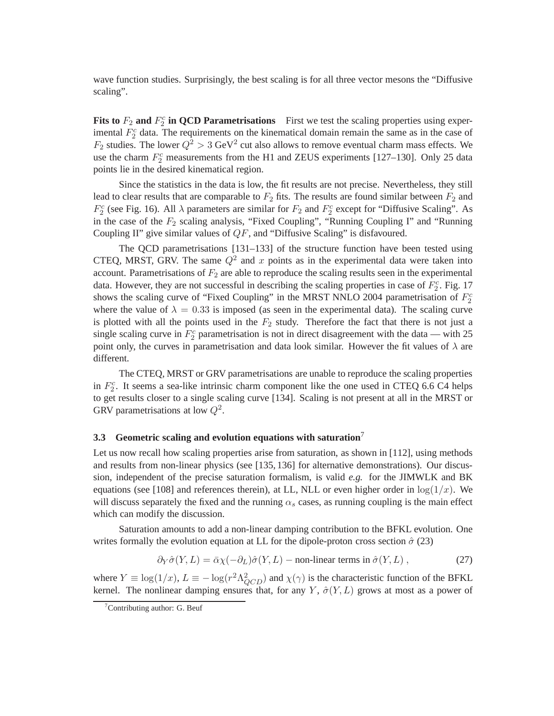wave function studies. Surprisingly, the best scaling is for all three vector mesons the "Diffusive scaling".

**Fits to**  $F_2$  and  $F_2^c$  in QCD Parametrisations First we test the scaling properties using experimental  $F_2^c$  data. The requirements on the kinematical domain remain the same as in the case of  $F_2$  studies. The lower  $Q^2 > 3$  GeV<sup>2</sup> cut also allows to remove eventual charm mass effects. We use the charm  $F_2^c$  measurements from the H1 and ZEUS experiments [127–130]. Only 25 data points lie in the desired kinematical region.

Since the statistics in the data is low, the fit results are not precise. Nevertheless, they still lead to clear results that are comparable to  $F_2$  fits. The results are found similar between  $F_2$  and  $F_2^c$  (see Fig. 16). All  $\lambda$  parameters are similar for  $F_2$  and  $F_2^c$  except for "Diffusive Scaling". As in the case of the  $F_2$  scaling analysis, "Fixed Coupling", "Running Coupling I" and "Running Coupling II" give similar values of QF, and "Diffusive Scaling" is disfavoured.

The QCD parametrisations [131–133] of the structure function have been tested using CTEQ, MRST, GRV. The same  $Q^2$  and x points as in the experimental data were taken into account. Parametrisations of  $F_2$  are able to reproduce the scaling results seen in the experimental data. However, they are not successful in describing the scaling properties in case of  $F_2^c$ . Fig. 17 shows the scaling curve of "Fixed Coupling" in the MRST NNLO 2004 parametrisation of  $F_2^c$ where the value of  $\lambda = 0.33$  is imposed (as seen in the experimental data). The scaling curve is plotted with all the points used in the  $F_2$  study. Therefore the fact that there is not just a single scaling curve in  $F_2^c$  parametrisation is not in direct disagreement with the data — with 25 point only, the curves in parametrisation and data look similar. However the fit values of  $\lambda$  are different.

The CTEQ, MRST or GRV parametrisations are unable to reproduce the scaling properties in  $F_2^c$ . It seems a sea-like intrinsic charm component like the one used in CTEQ 6.6 C4 helps to get results closer to a single scaling curve [134]. Scaling is not present at all in the MRST or GRV parametrisations at low  $Q^2$ .

#### **3.3 Geometric scaling and evolution equations with saturation**<sup>7</sup>

Let us now recall how scaling properties arise from saturation, as shown in [112], using methods and results from non-linear physics (see [135, 136] for alternative demonstrations). Our discussion, independent of the precise saturation formalism, is valid *e.g.* for the JIMWLK and BK equations (see [108] and references therein), at LL, NLL or even higher order in  $\log(1/x)$ . We will discuss separately the fixed and the running  $\alpha_s$  cases, as running coupling is the main effect which can modify the discussion.

Saturation amounts to add a non-linear damping contribution to the BFKL evolution. One writes formally the evolution equation at LL for the dipole-proton cross section  $\hat{\sigma}$  (23)

$$
\partial_Y \hat{\sigma}(Y, L) = \bar{\alpha} \chi(-\partial_L) \hat{\sigma}(Y, L) - \text{non-linear terms in } \hat{\sigma}(Y, L) , \qquad (27)
$$

where  $Y \equiv \log(1/x)$ ,  $L \equiv -\log(r^2 \Lambda_{QCD}^2)$  and  $\chi(\gamma)$  is the characteristic function of the BFKL kernel. The nonlinear damping ensures that, for any Y,  $\hat{\sigma}(Y, L)$  grows at most as a power of

 $7$ Contributing author: G. Beuf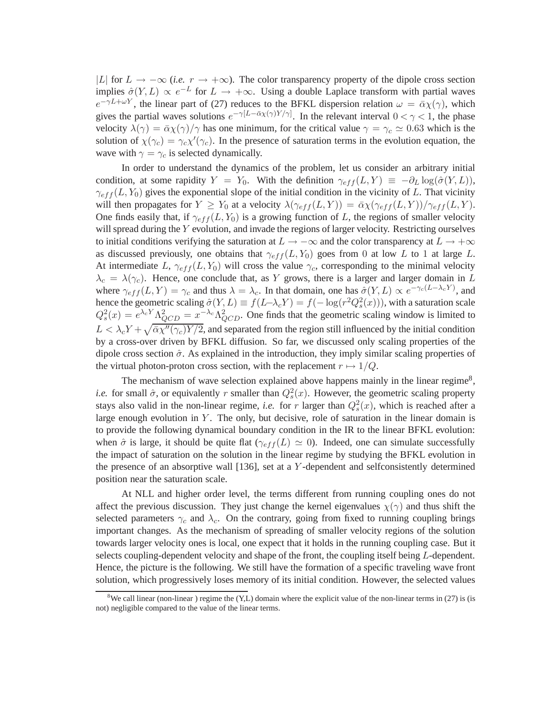|L| for  $L \to -\infty$  (*i.e.*  $r \to +\infty$ ). The color transparency property of the dipole cross section implies  $\hat{\sigma}(Y, L) \propto e^{-L}$  for  $L \to +\infty$ . Using a double Laplace transform with partial waves  $e^{-\gamma L + \omega Y}$ , the linear part of (27) reduces to the BFKL dispersion relation  $\omega = \bar{\alpha}\chi(\gamma)$ , which gives the partial waves solutions  $e^{-\gamma[L-\bar{\alpha}\chi(\gamma)Y/\gamma]}$ . In the relevant interval  $0 < \gamma < 1$ , the phase velocity  $\lambda(\gamma) = \bar{\alpha}\chi(\gamma)/\gamma$  has one minimum, for the critical value  $\gamma = \gamma_c \approx 0.63$  which is the solution of  $\chi(\gamma_c) = \gamma_c \chi'(\gamma_c)$ . In the presence of saturation terms in the evolution equation, the wave with  $\gamma = \gamma_c$  is selected dynamically.

In order to understand the dynamics of the problem, let us consider an arbitrary initial condition, at some rapidity  $Y = Y_0$ . With the definition  $\gamma_{eff}(L, Y) \equiv -\partial_L \log(\hat{\sigma}(Y, L)),$  $\gamma_{eff}(L,Y_0)$  gives the exponential slope of the initial condition in the vicinity of L. That vicinity will then propagates for  $Y \geq Y_0$  at a velocity  $\lambda(\gamma_{eff}(L,Y)) = \overline{\alpha} \chi(\gamma_{eff}(L,Y))/\gamma_{eff}(L,Y)$ . One finds easily that, if  $\gamma_{eff}(L,Y_0)$  is a growing function of L, the regions of smaller velocity will spread during the Y evolution, and invade the regions of larger velocity. Restricting ourselves to initial conditions verifying the saturation at  $L \to -\infty$  and the color transparency at  $L \to +\infty$ as discussed previously, one obtains that  $\gamma_{eff}(L,Y_0)$  goes from 0 at low L to 1 at large L. At intermediate L,  $\gamma_{eff}(L,Y_0)$  will cross the value  $\gamma_c$ , corresponding to the minimal velocity  $\lambda_c = \lambda(\gamma_c)$ . Hence, one conclude that, as Y grows, there is a larger and larger domain in L where  $\gamma_{eff}(L, Y) = \gamma_c$  and thus  $\lambda = \lambda_c$ . In that domain, one has  $\hat{\sigma}(Y, L) \propto e^{-\gamma_c (L - \lambda_c Y)}$ , and hence the geometric scaling  $\hat{\sigma}(Y, L) \equiv f(L-\lambda_c Y) = f(-\log(r^2 Q_s^2(x)))$ , with a saturation scale  $Q_s^2(x) = e^{\lambda_c Y} \Lambda_{QCD}^2 = x^{-\lambda_c} \Lambda_{QCD}^2$ . One finds that the geometric scaling window is limited to  $L < \lambda_c Y + \sqrt{\bar{\alpha}\chi''(\gamma_c)Y/2}$ , and separated from the region still influenced by the initial condition by a cross-over driven by BFKL diffusion. So far, we discussed only scaling properties of the dipole cross section  $\hat{\sigma}$ . As explained in the introduction, they imply similar scaling properties of the virtual photon-proton cross section, with the replacement  $r \mapsto 1/Q$ .

The mechanism of wave selection explained above happens mainly in the linear regime<sup>8</sup>, *i.e.* for small  $\hat{\sigma}$ , or equivalently r smaller than  $Q_s^2(x)$ . However, the geometric scaling property stays also valid in the non-linear regime, *i.e.* for r larger than  $Q_s^2(x)$ , which is reached after a large enough evolution in  $Y$ . The only, but decisive, role of saturation in the linear domain is to provide the following dynamical boundary condition in the IR to the linear BFKL evolution: when  $\hat{\sigma}$  is large, it should be quite flat ( $\gamma_{eff}(L) \simeq 0$ ). Indeed, one can simulate successfully the impact of saturation on the solution in the linear regime by studying the BFKL evolution in the presence of an absorptive wall [136], set at a Y -dependent and selfconsistently determined position near the saturation scale.

At NLL and higher order level, the terms different from running coupling ones do not affect the previous discussion. They just change the kernel eigenvalues  $\chi(\gamma)$  and thus shift the selected parameters  $\gamma_c$  and  $\lambda_c$ . On the contrary, going from fixed to running coupling brings important changes. As the mechanism of spreading of smaller velocity regions of the solution towards larger velocity ones is local, one expect that it holds in the running coupling case. But it selects coupling-dependent velocity and shape of the front, the coupling itself being L-dependent. Hence, the picture is the following. We still have the formation of a specific traveling wave front solution, which progressively loses memory of its initial condition. However, the selected values

<sup>&</sup>lt;sup>8</sup>We call linear (non-linear) regime the (Y,L) domain where the explicit value of the non-linear terms in (27) is (is not) negligible compared to the value of the linear terms.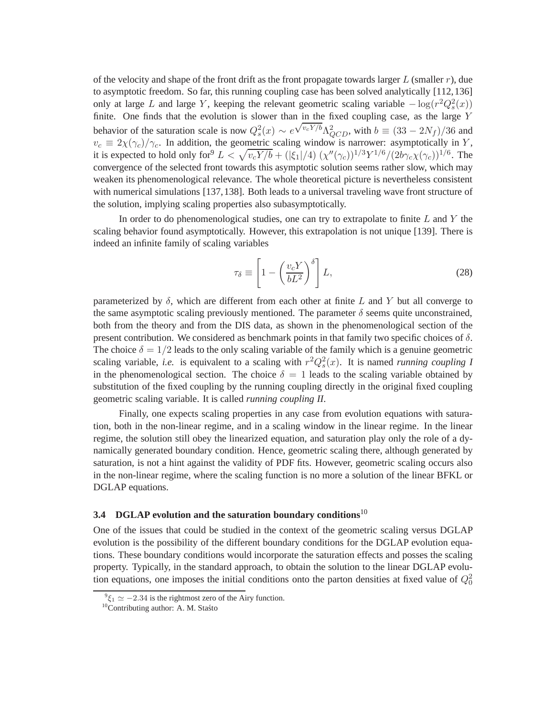of the velocity and shape of the front drift as the front propagate towards larger  $L$  (smaller  $r$ ), due to asymptotic freedom. So far, this running coupling case has been solved analytically [112,136] only at large L and large Y, keeping the relevant geometric scaling variable  $-\log(r^2 Q_s^2(x))$ finite. One finds that the evolution is slower than in the fixed coupling case, as the large Y behavior of the saturation scale is now  $Q_s^2(x) \sim e$  $\sqrt{v_c Y/b} \Lambda_{QCD}^2$ , with  $b \equiv (33 - 2N_f)/36$  and  $v_c \equiv 2\chi(\gamma_c)/\gamma_c$ . In addition, the geometric scaling window is narrower: asymptotically in Y, it is expected to hold only for  $L < \sqrt{v_c Y/b} + (|\xi_1|/4) (\chi''(\gamma_c))^{1/3} Y^{1/6} / (2b\gamma_c \chi(\gamma_c))^{1/6}$ . The convergence of the selected front towards this asymptotic solution seems rather slow, which may weaken its phenomenological relevance. The whole theoretical picture is nevertheless consistent with numerical simulations [137,138]. Both leads to a universal traveling wave front structure of the solution, implying scaling properties also subasymptotically.

In order to do phenomenological studies, one can try to extrapolate to finite  $L$  and  $Y$  the scaling behavior found asymptotically. However, this extrapolation is not unique [139]. There is indeed an infinite family of scaling variables

$$
\tau_{\delta} \equiv \left[1 - \left(\frac{v_c Y}{b L^2}\right)^{\delta}\right] L,\tag{28}
$$

parameterized by  $\delta$ , which are different from each other at finite L and Y but all converge to the same asymptotic scaling previously mentioned. The parameter  $\delta$  seems quite unconstrained, both from the theory and from the DIS data, as shown in the phenomenological section of the present contribution. We considered as benchmark points in that family two specific choices of  $\delta$ . The choice  $\delta = 1/2$  leads to the only scaling variable of the family which is a genuine geometric scaling variable, *i.e.* is equivalent to a scaling with  $r^2 Q_s^2(x)$ . It is named *running coupling I* in the phenomenological section. The choice  $\delta = 1$  leads to the scaling variable obtained by substitution of the fixed coupling by the running coupling directly in the original fixed coupling geometric scaling variable. It is called *running coupling II*.

Finally, one expects scaling properties in any case from evolution equations with saturation, both in the non-linear regime, and in a scaling window in the linear regime. In the linear regime, the solution still obey the linearized equation, and saturation play only the role of a dynamically generated boundary condition. Hence, geometric scaling there, although generated by saturation, is not a hint against the validity of PDF fits. However, geometric scaling occurs also in the non-linear regime, where the scaling function is no more a solution of the linear BFKL or DGLAP equations.

# **3.4 DGLAP evolution and the saturation boundary conditions**<sup>10</sup>

One of the issues that could be studied in the context of the geometric scaling versus DGLAP evolution is the possibility of the different boundary conditions for the DGLAP evolution equations. These boundary conditions would incorporate the saturation effects and posses the scaling property. Typically, in the standard approach, to obtain the solution to the linear DGLAP evolution equations, one imposes the initial conditions onto the parton densities at fixed value of  $Q_0^2$ 

 $^{9}\xi_1 \simeq -2.34$  is the rightmost zero of the Airy function.

 $10$ Contributing author: A. M. Stasto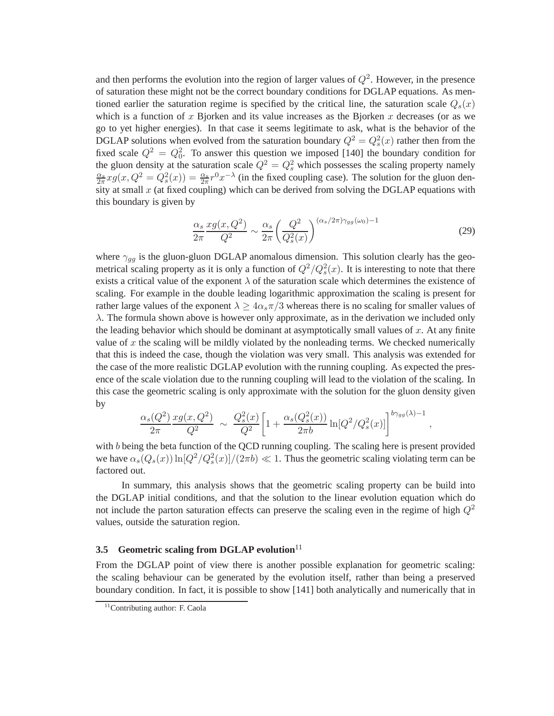and then performs the evolution into the region of larger values of  $Q^2$ . However, in the presence of saturation these might not be the correct boundary conditions for DGLAP equations. As mentioned earlier the saturation regime is specified by the critical line, the saturation scale  $Q_s(x)$ which is a function of x Bjorken and its value increases as the Bjorken x decreases (or as we go to yet higher energies). In that case it seems legitimate to ask, what is the behavior of the DGLAP solutions when evolved from the saturation boundary  $Q^2 = Q_s^2(x)$  rather then from the fixed scale  $Q^2 = Q_0^2$ . To answer this question we imposed [140] the boundary condition for the gluon density at the saturation scale  $Q^2 = Q_s^2$  which possesses the scaling property namely  $\frac{\alpha_s}{2\pi} x g(x, Q^2 = Q_s^2(x)) = \frac{\alpha_s}{2\pi} r^0 x^{-\lambda}$  (in the fixed coupling case). The solution for the gluon density at small  $x$  (at fixed coupling) which can be derived from solving the DGLAP equations with this boundary is given by

$$
\frac{\alpha_s}{2\pi} \frac{xg(x, Q^2)}{Q^2} \sim \frac{\alpha_s}{2\pi} \left(\frac{Q^2}{Q_s^2(x)}\right)^{(\alpha_s/2\pi)\gamma_{gg}(\omega_0)-1} \tag{29}
$$

,

where  $\gamma_{gg}$  is the gluon-gluon DGLAP anomalous dimension. This solution clearly has the geometrical scaling property as it is only a function of  $Q^2/Q_s^2(x)$ . It is interesting to note that there exists a critical value of the exponent  $\lambda$  of the saturation scale which determines the existence of scaling. For example in the double leading logarithmic approximation the scaling is present for rather large values of the exponent  $\lambda \ge 4\alpha_s \pi/3$  whereas there is no scaling for smaller values of  $\lambda$ . The formula shown above is however only approximate, as in the derivation we included only the leading behavior which should be dominant at asymptotically small values of  $x$ . At any finite value of  $x$  the scaling will be mildly violated by the nonleading terms. We checked numerically that this is indeed the case, though the violation was very small. This analysis was extended for the case of the more realistic DGLAP evolution with the running coupling. As expected the presence of the scale violation due to the running coupling will lead to the violation of the scaling. In this case the geometric scaling is only approximate with the solution for the gluon density given by

$$
\frac{\alpha_s(Q^2)}{2\pi} \frac{xg(x,Q^2)}{Q^2} \sim \frac{Q_s^2(x)}{Q^2} \left[ 1 + \frac{\alpha_s(Q_s^2(x))}{2\pi b} \ln[Q^2/Q_s^2(x)] \right]^{b\gamma_{gg}(\lambda)-1}
$$

with b being the beta function of the QCD running coupling. The scaling here is present provided we have  $\alpha_s(Q_s(x)) \ln [Q^2/Q_s^2(x)]/(2\pi b) \ll 1$ . Thus the geometric scaling violating term can be factored out.

In summary, this analysis shows that the geometric scaling property can be build into the DGLAP initial conditions, and that the solution to the linear evolution equation which do not include the parton saturation effects can preserve the scaling even in the regime of high  $Q^2$ values, outside the saturation region.

# **3.5 Geometric scaling from DGLAP evolution**<sup>11</sup>

From the DGLAP point of view there is another possible explanation for geometric scaling: the scaling behaviour can be generated by the evolution itself, rather than being a preserved boundary condition. In fact, it is possible to show [141] both analytically and numerically that in

<sup>&</sup>lt;sup>11</sup>Contributing author: F. Caola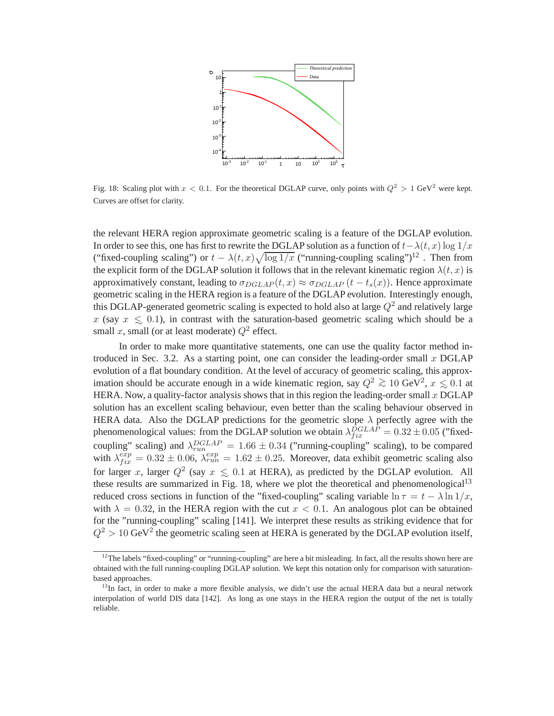

Fig. 18: Scaling plot with  $x < 0.1$ . For the theoretical DGLAP curve, only points with  $Q^2 > 1$  GeV<sup>2</sup> were kept. Curves are offset for clarity.

the relevant HERA region approximate geometric scaling is a feature of the DGLAP evolution. In order to see this, one has first to rewrite the DGLAP solution as a function of  $t-\lambda(t, x) \log 1/x$ ("fixed-coupling scaling") or  $t - \lambda(t, x) \sqrt{\log 1/x}$  ("running-coupling scaling")<sup>12</sup>. Then from the explicit form of the DGLAP solution it follows that in the relevant kinematic region  $\lambda(t,x)$  is approximatively constant, leading to  $\sigma_{DGLAP}(t,x) \approx \sigma_{DGLAP}(t-t_s(x))$ . Hence approximate geometric scaling in the HERA region is a feature of the DGLAP evolution. Interestingly enough, this DGLAP-generated geometric scaling is expected to hold also at large  $Q^2$  and relatively large x (say  $x \le 0.1$ ), in contrast with the saturation-based geometric scaling which should be a<br>small a small (or at least moderate)  $Q^2$  offect small x, small (or at least moderate)  $Q^2$  effect.

In order to make more quantitative statements, one can use the quality factor method introduced in Sec. 3.2. As a starting point, one can consider the leading-order small  $x$  DGLAP evolution of a flat boundary condition. At the level of accuracy of geometric scaling, this approximation should be accurate enough in a wide kinematic region, say  $Q^2 \gtrsim 10 \text{ GeV}^2$ ,  $x \lesssim 0.1$  at  $\text{HEPA}$ . Now a quality factor analysis shows that in this region the loading order small  $x \text{ DGI}$  A B HERA. Now, a quality-factor analysis shows that in this region the leading-order small  $x$  DGLAP solution has an excellent scaling behaviour, even better than the scaling behaviour observed in HERA data. Also the DGLAP predictions for the geometric slope  $\lambda$  perfectly agree with the phenomenological values: from the DGLAP solution we obtain  $\lambda_{fix}^{DGLAP} = 0.32 \pm 0.05$  ("fixedcoupling" scaling) and  $\lambda_{run}^{DGLAP} = 1.66 \pm 0.34$  ("running-coupling" scaling), to be compared with  $\lambda_{fix}^{exp} = 0.32 \pm 0.06$ ,  $\lambda_{run}^{exp} = 1.62 \pm 0.25$ . Moreover, data exhibit geometric scaling also for larger x, larger  $Q^2$  (say  $x \le 0.1$  at HERA), as predicted by the DGLAP evolution. All these results are summarized in Fig. 18, where we plot the theoretical and phanomanalogical<sup>13</sup> these results are summarized in Fig. 18, where we plot the theoretical and phenomenological<sup>13</sup> reduced cross sections in function of the "fixed-coupling" scaling variable  $\ln \tau = t - \lambda \ln 1/x$ , with  $\lambda = 0.32$ , in the HERA region with the cut  $x < 0.1$ . An analogous plot can be obtained for the "running-coupling" scaling [141]. We interpret these results as striking evidence that for  $Q^2 > 10$  GeV<sup>2</sup> the geometric scaling seen at HERA is generated by the DGLAP evolution itself,

 $12$ The labels "fixed-coupling" or "running-coupling" are here a bit misleading. In fact, all the results shown here are obtained with the full running-coupling DGLAP solution. We kept this notation only for comparison with saturationbased approaches.

<sup>&</sup>lt;sup>13</sup>In fact, in order to make a more flexible analysis, we didn't use the actual HERA data but a neural network interpolation of world DIS data [142]. As long as one stays in the HERA region the output of the net is totally reliable.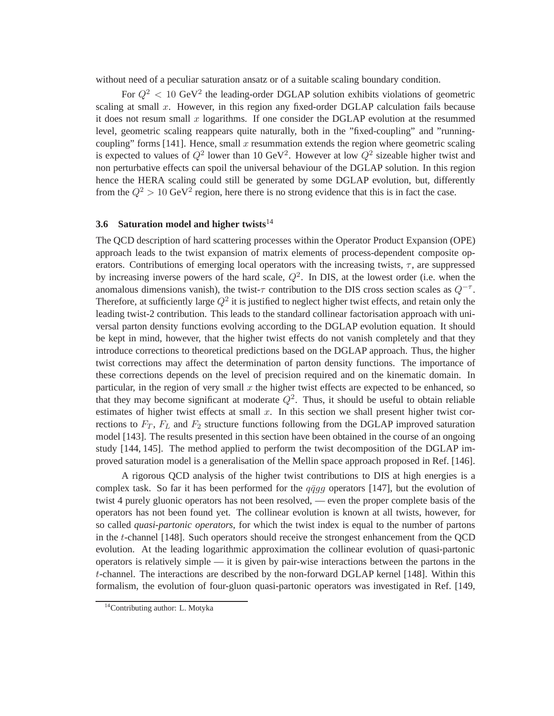without need of a peculiar saturation ansatz or of a suitable scaling boundary condition.

For  $Q^2$  < 10 GeV<sup>2</sup> the leading-order DGLAP solution exhibits violations of geometric scaling at small  $x$ . However, in this region any fixed-order DGLAP calculation fails because it does not resum small  $x$  logarithms. If one consider the DGLAP evolution at the resummed level, geometric scaling reappears quite naturally, both in the "fixed-coupling" and "runningcoupling" forms [141]. Hence, small x resummation extends the region where geometric scaling is expected to values of  $Q^2$  lower than 10 GeV<sup>2</sup>. However at low  $Q^2$  sizeable higher twist and non perturbative effects can spoil the universal behaviour of the DGLAP solution. In this region hence the HERA scaling could still be generated by some DGLAP evolution, but, differently from the  $Q^2 > 10$  GeV<sup>2</sup> region, here there is no strong evidence that this is in fact the case.

## **3.6 Saturation model and higher twists**<sup>14</sup>

The QCD description of hard scattering processes within the Operator Product Expansion (OPE) approach leads to the twist expansion of matrix elements of process-dependent composite operators. Contributions of emerging local operators with the increasing twists,  $\tau$ , are suppressed by increasing inverse powers of the hard scale,  $Q^2$ . In DIS, at the lowest order (i.e. when the anomalous dimensions vanish), the twist- $\tau$  contribution to the DIS cross section scales as  $Q^{-\tau}$ . Therefore, at sufficiently large  $Q^2$  it is justified to neglect higher twist effects, and retain only the leading twist-2 contribution. This leads to the standard collinear factorisation approach with universal parton density functions evolving according to the DGLAP evolution equation. It should be kept in mind, however, that the higher twist effects do not vanish completely and that they introduce corrections to theoretical predictions based on the DGLAP approach. Thus, the higher twist corrections may affect the determination of parton density functions. The importance of these corrections depends on the level of precision required and on the kinematic domain. In particular, in the region of very small  $x$  the higher twist effects are expected to be enhanced, so that they may become significant at moderate  $Q^2$ . Thus, it should be useful to obtain reliable estimates of higher twist effects at small  $x$ . In this section we shall present higher twist corrections to  $F_T$ ,  $F_L$  and  $F_2$  structure functions following from the DGLAP improved saturation model [143]. The results presented in this section have been obtained in the course of an ongoing study [144, 145]. The method applied to perform the twist decomposition of the DGLAP improved saturation model is a generalisation of the Mellin space approach proposed in Ref. [146].

A rigorous QCD analysis of the higher twist contributions to DIS at high energies is a complex task. So far it has been performed for the  $q\bar{q}q\bar{q}$  operators [147], but the evolution of twist 4 purely gluonic operators has not been resolved, — even the proper complete basis of the operators has not been found yet. The collinear evolution is known at all twists, however, for so called *quasi-partonic operators*, for which the twist index is equal to the number of partons in the t-channel [148]. Such operators should receive the strongest enhancement from the QCD evolution. At the leading logarithmic approximation the collinear evolution of quasi-partonic operators is relatively simple — it is given by pair-wise interactions between the partons in the t-channel. The interactions are described by the non-forward DGLAP kernel [148]. Within this formalism, the evolution of four-gluon quasi-partonic operators was investigated in Ref. [149,

<sup>14</sup>Contributing author: L. Motyka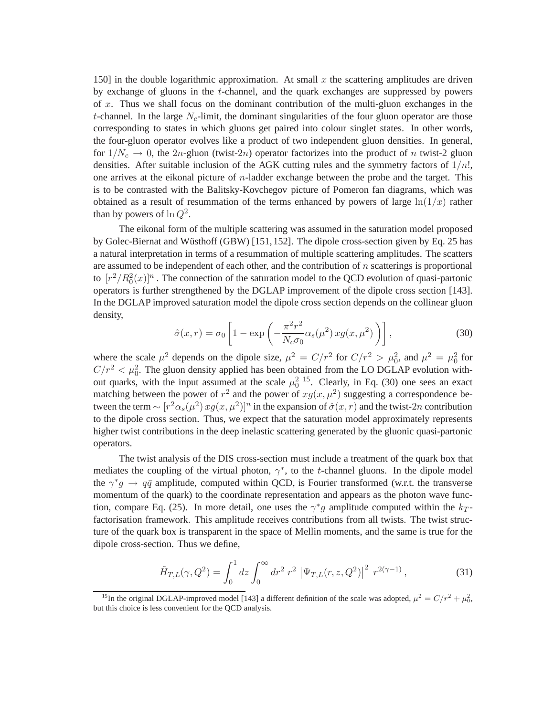150] in the double logarithmic approximation. At small  $x$  the scattering amplitudes are driven by exchange of gluons in the t-channel, and the quark exchanges are suppressed by powers of  $x$ . Thus we shall focus on the dominant contribution of the multi-gluon exchanges in the t-channel. In the large  $N_c$ -limit, the dominant singularities of the four gluon operator are those corresponding to states in which gluons get paired into colour singlet states. In other words, the four-gluon operator evolves like a product of two independent gluon densities. In general, for  $1/N_c \rightarrow 0$ , the 2n-gluon (twist-2n) operator factorizes into the product of n twist-2 gluon densities. After suitable inclusion of the AGK cutting rules and the symmetry factors of  $1/n!$ , one arrives at the eikonal picture of n-ladder exchange between the probe and the target. This is to be contrasted with the Balitsky-Kovchegov picture of Pomeron fan diagrams, which was obtained as a result of resummation of the terms enhanced by powers of large  $ln(1/x)$  rather than by powers of  $\ln Q^2$ .

The eikonal form of the multiple scattering was assumed in the saturation model proposed by Golec-Biernat and Wüsthoff (GBW) [151, 152]. The dipole cross-section given by Eq. 25 has a natural interpretation in terms of a resummation of multiple scattering amplitudes. The scatters are assumed to be independent of each other, and the contribution of  $n$  scatterings is proportional to  $[r^2/R_0^2(x)]^n$ . The connection of the saturation model to the QCD evolution of quasi-partonic operators is further strengthened by the DGLAP improvement of the dipole cross section [143]. In the DGLAP improved saturation model the dipole cross section depends on the collinear gluon density,

$$
\hat{\sigma}(x,r) = \sigma_0 \left[ 1 - \exp\left( -\frac{\pi^2 r^2}{N_c \sigma_0} \alpha_s(\mu^2) x g(x, \mu^2) \right) \right],
$$
\n(30)

where the scale  $\mu^2$  depends on the dipole size,  $\mu^2 = C/r^2$  for  $C/r^2 > \mu_0^2$ , and  $\mu^2 = \mu_0^2$  for  $C/r^2 < \mu_0^2$ . The gluon density applied has been obtained from the LO DGLAP evolution without quarks, with the input assumed at the scale  $\mu_0^2$  <sup>15</sup>. Clearly, in Eq. (30) one sees an exact matching between the power of  $r^2$  and the power of  $xg(x, \mu^2)$  suggesting a correspondence between the term  $\sim [r^2\alpha_s(\mu^2) x g(x,\mu^2)]^n$  in the expansion of  $\hat{\sigma}(x,r)$  and the twist-2n contribution to the dipole cross section. Thus, we expect that the saturation model approximately represents higher twist contributions in the deep inelastic scattering generated by the gluonic quasi-partonic operators.

The twist analysis of the DIS cross-section must include a treatment of the quark box that mediates the coupling of the virtual photon,  $\gamma^*$ , to the t-channel gluons. In the dipole model the  $\gamma^* g \to q\bar{q}$  amplitude, computed within QCD, is Fourier transformed (w.r.t. the transverse momentum of the quark) to the coordinate representation and appears as the photon wave function, compare Eq. (25). In more detail, one uses the  $\gamma^*g$  amplitude computed within the  $k_T$ factorisation framework. This amplitude receives contributions from all twists. The twist structure of the quark box is transparent in the space of Mellin moments, and the same is true for the dipole cross-section. Thus we define,

$$
\tilde{H}_{T,L}(\gamma, Q^2) = \int_0^1 dz \int_0^\infty dr^2 \ r^2 \ |\Psi_{T,L}(r, z, Q^2)|^2 \ r^{2(\gamma - 1)}, \tag{31}
$$

<sup>&</sup>lt;sup>15</sup>In the original DGLAP-improved model [143] a different definition of the scale was adopted,  $\mu^2 = C/r^2 + \mu_0^2$ , but this choice is less convenient for the QCD analysis.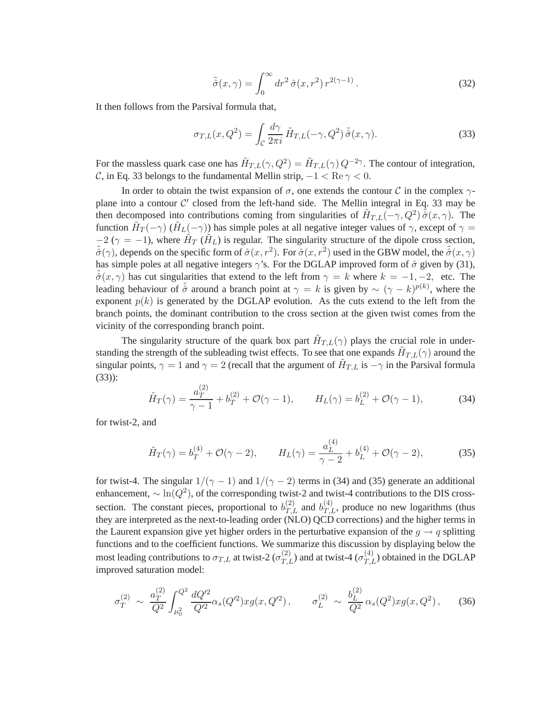$$
\tilde{\hat{\sigma}}(x,\gamma) = \int_0^\infty dr^2 \,\hat{\sigma}(x,r^2) \, r^{2(\gamma-1)} \,. \tag{32}
$$

It then follows from the Parsival formula that,

$$
\sigma_{T,L}(x,Q^2) = \int_{\mathcal{C}} \frac{d\gamma}{2\pi i} \tilde{H}_{T,L}(-\gamma,Q^2) \tilde{\hat{\sigma}}(x,\gamma). \tag{33}
$$

For the massless quark case one has  $\tilde{H}_{T,L}(\gamma, Q^2) = \tilde{H}_{T,L}(\gamma) Q^{-2\gamma}$ . The contour of integration, C, in Eq. 33 belongs to the fundamental Mellin strip,  $-1 < \text{Re } \gamma < 0$ .

In order to obtain the twist expansion of  $\sigma$ , one extends the contour C in the complex  $\gamma$ plane into a contour  $\mathcal{C}'$  closed from the left-hand side. The Mellin integral in Eq. 33 may be then decomposed into contributions coming from singularities of  $\tilde{H}_{T,L}(-\gamma,Q^2)\tilde{\hat{\sigma}}(x,\gamma)$ . The function  $\tilde{H}_T(-\gamma)$  ( $\tilde{H}_L(-\gamma)$ ) has simple poles at all negative integer values of  $\gamma$ , except of  $\gamma$  =  $-2$  ( $\gamma = -1$ ), where  $\tilde{H}_T(\tilde{H}_L)$  is regular. The singularity structure of the dipole cross section,  $\tilde{\hat{\sigma}}(\gamma)$ , depends on the specific form of  $\hat{\sigma}(x,r^2)$ . For  $\hat{\sigma}(x,r^2)$  used in the GBW model, the  $\tilde{\hat{\sigma}}(x,\gamma)$ has simple poles at all negative integers  $\gamma$ 's. For the DGLAP improved form of  $\hat{\sigma}$  given by (31),  $\tilde{\sigma}(x,\gamma)$  has cut singularities that extend to the left from  $\gamma = k$  where  $k = -1, -2,$  etc. The leading behaviour of  $\tilde{\hat{\sigma}}$  around a branch point at  $\gamma = k$  is given by  $\sim (\gamma - k)^{p(k)}$ , where the exponent  $p(k)$  is generated by the DGLAP evolution. As the cuts extend to the left from the branch points, the dominant contribution to the cross section at the given twist comes from the vicinity of the corresponding branch point.

The singularity structure of the quark box part  $\tilde{H}_{T,L}(\gamma)$  plays the crucial role in understanding the strength of the subleading twist effects. To see that one expands  $\tilde{H}_{T,L}(\gamma)$  around the singular points,  $\gamma = 1$  and  $\gamma = 2$  (recall that the argument of  $\tilde{H}_{T,L}$  is  $-\gamma$  in the Parsival formula (33)):

$$
\tilde{H}_T(\gamma) = \frac{a_T^{(2)}}{\gamma - 1} + b_T^{(2)} + \mathcal{O}(\gamma - 1), \qquad H_L(\gamma) = b_L^{(2)} + \mathcal{O}(\gamma - 1), \tag{34}
$$

for twist-2, and

$$
\tilde{H}_T(\gamma) = b_T^{(4)} + \mathcal{O}(\gamma - 2), \qquad H_L(\gamma) = \frac{a_L^{(4)}}{\gamma - 2} + b_L^{(4)} + \mathcal{O}(\gamma - 2), \tag{35}
$$

for twist-4. The singular  $1/(\gamma - 1)$  and  $1/(\gamma - 2)$  terms in (34) and (35) generate an additional enhancement,  $\sim \ln(Q^2)$ , of the corresponding twist-2 and twist-4 contributions to the DIS crosssection. The constant pieces, proportional to  $b_{T,L}^{(2)}$  and  $b_{T,L}^{(4)}$ , produce no new logarithms (thus they are interpreted as the next-to-leading order (NLO) QCD corrections) and the higher terms in the Laurent expansion give yet higher orders in the perturbative expansion of the  $g \rightarrow q$  splitting functions and to the coefficient functions. We summarize this discussion by displaying below the most leading contributions to  $\sigma_{T,L}$  at twist-2 ( $\sigma_{T,L}^{(2)}$ ) and at twist-4 ( $\sigma_{T,L}^{(4)}$ ) obtained in the DGLAP improved saturation model:

$$
\sigma_T^{(2)} \sim \frac{a_T^{(2)}}{Q^2} \int_{\mu_0^2}^{Q^2} \frac{dQ'^2}{Q'^2} \alpha_s(Q'^2) x g(x, Q'^2) \,, \qquad \sigma_L^{(2)} \sim \frac{b_L^{(2)}}{Q^2} \alpha_s(Q^2) x g(x, Q^2) \,, \tag{36}
$$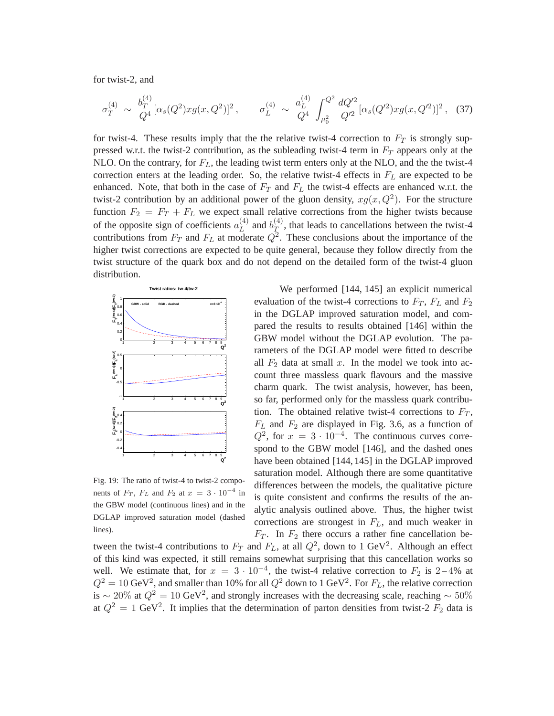for twist-2, and

$$
\sigma_T^{(4)} \sim \frac{b_T^{(4)}}{Q^4} [\alpha_s(Q^2) x g(x, Q^2)]^2 \,, \qquad \sigma_L^{(4)} \sim \frac{a_L^{(4)}}{Q^4} \int_{\mu_0^2}^{Q^2} \frac{dQ'^2}{Q'^2} [\alpha_s(Q'^2) x g(x, Q'^2)]^2 \,, \tag{37}
$$

for twist-4. These results imply that the the relative twist-4 correction to  $F_T$  is strongly suppressed w.r.t. the twist-2 contribution, as the subleading twist-4 term in  $F<sub>T</sub>$  appears only at the NLO. On the contrary, for  $F_L$ , the leading twist term enters only at the NLO, and the the twist-4 correction enters at the leading order. So, the relative twist-4 effects in  $F<sub>L</sub>$  are expected to be enhanced. Note, that both in the case of  $F_T$  and  $F_L$  the twist-4 effects are enhanced w.r.t. the twist-2 contribution by an additional power of the gluon density,  $xg(x, Q^2)$ . For the structure function  $F_2 = F_T + F_L$  we expect small relative corrections from the higher twists because of the opposite sign of coefficients  $a_L^{(4)}$  $L^{(4)}$  and  $b_T^{(4)}$  $T$ , that leads to cancellations between the twist-4 contributions from  $F_T$  and  $F_L$  at moderate  $Q^2$ . These conclusions about the importance of the higher twist corrections are expected to be quite general, because they follow directly from the twist structure of the quark box and do not depend on the detailed form of the twist-4 gluon distribution.



Fig. 19: The ratio of twist-4 to twist-2 components of  $F_T$ ,  $F_L$  and  $F_2$  at  $x = 3 \cdot 10^{-4}$  in the GBW model (continuous lines) and in the DGLAP improved saturation model (dashed lines).

We performed [144, 145] an explicit numerical evaluation of the twist-4 corrections to  $F_T$ ,  $F_L$  and  $F_2$ in the DGLAP improved saturation model, and compared the results to results obtained [146] within the GBW model without the DGLAP evolution. The parameters of the DGLAP model were fitted to describe all  $F_2$  data at small x. In the model we took into account three massless quark flavours and the massive charm quark. The twist analysis, however, has been, so far, performed only for the massless quark contribution. The obtained relative twist-4 corrections to  $F_T$ ,  $F_L$  and  $F_2$  are displayed in Fig. 3.6, as a function of  $Q^2$ , for  $x = 3 \cdot 10^{-4}$ . The continuous curves correspond to the GBW model [146], and the dashed ones have been obtained [144, 145] in the DGLAP improved saturation model. Although there are some quantitative differences between the models, the qualitative picture is quite consistent and confirms the results of the analytic analysis outlined above. Thus, the higher twist corrections are strongest in  $F<sub>L</sub>$ , and much weaker in  $F_T$ . In  $F_2$  there occurs a rather fine cancellation be-

tween the twist-4 contributions to  $F_T$  and  $F_L$ , at all  $Q^2$ , down to 1 GeV<sup>2</sup>. Although an effect of this kind was expected, it still remains somewhat surprising that this cancellation works so well. We estimate that, for  $x = 3 \cdot 10^{-4}$ , the twist-4 relative correction to  $F_2$  is 2-4% at  $Q^2 = 10 \text{ GeV}^2$ , and smaller than 10% for all  $Q^2$  down to 1 GeV<sup>2</sup>. For  $F_L$ , the relative correction is ~ 20% at  $Q^2 = 10$  GeV<sup>2</sup>, and strongly increases with the decreasing scale, reaching ~ 50% at  $Q^2 = 1$  GeV<sup>2</sup>. It implies that the determination of parton densities from twist-2  $F_2$  data is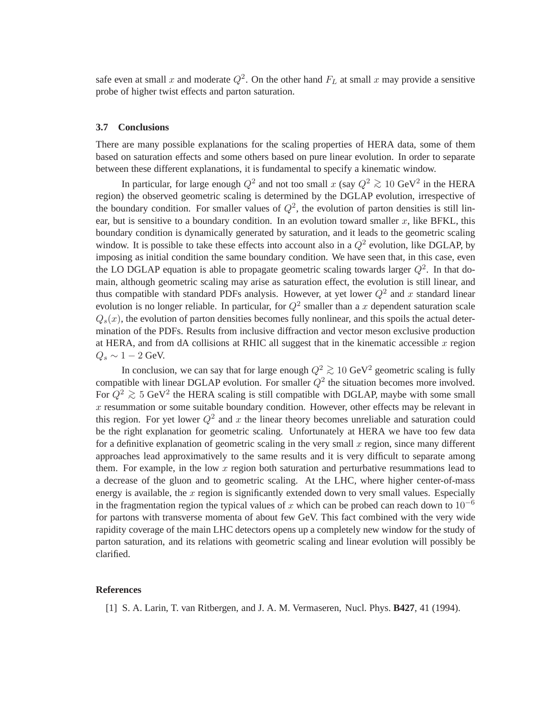safe even at small x and moderate  $Q^2$ . On the other hand  $F_L$  at small x may provide a sensitive probe of higher twist effects and parton saturation.

#### **3.7 Conclusions**

There are many possible explanations for the scaling properties of HERA data, some of them based on saturation effects and some others based on pure linear evolution. In order to separate between these different explanations, it is fundamental to specify a kinematic window.

In particular, for large enough  $Q^2$  and not too small x (say  $Q^2 \gtrsim 10 \text{ GeV}^2$  in the HERA region) the observed geometric scaling is determined by the DGLAP evolution, irrespective of the boundary condition. For smaller values of  $Q^2$ , the evolution of parton densities is still linear, but is sensitive to a boundary condition. In an evolution toward smaller  $x$ , like BFKL, this boundary condition is dynamically generated by saturation, and it leads to the geometric scaling window. It is possible to take these effects into account also in a  $Q^2$  evolution, like DGLAP, by imposing as initial condition the same boundary condition. We have seen that, in this case, even the LO DGLAP equation is able to propagate geometric scaling towards larger  $Q^2$ . In that domain, although geometric scaling may arise as saturation effect, the evolution is still linear, and thus compatible with standard PDFs analysis. However, at yet lower  $Q^2$  and x standard linear evolution is no longer reliable. In particular, for  $Q^2$  smaller than a x dependent saturation scale  $Q_s(x)$ , the evolution of parton densities becomes fully nonlinear, and this spoils the actual determination of the PDFs. Results from inclusive diffraction and vector meson exclusive production at HERA, and from dA collisions at RHIC all suggest that in the kinematic accessible  $x$  region  $Q_s \sim 1-2$  GeV.

In conclusion, we can say that for large enough  $Q^2 \ge 10$  GeV<sup>2</sup> geometric scaling is fully compatible with linear DGLAP evolution. For smaller  $Q^2$  the situation becomes more involved. For  $Q^2 \gtrsim 5 \text{ GeV}^2$  the HERA scaling is still compatible with DGLAP, maybe with some small  $x$  resummation or some suitable boundary condition. However, other effects may be relevant in this region. For yet lower  $Q^2$  and x the linear theory becomes unreliable and saturation could be the right explanation for geometric scaling. Unfortunately at HERA we have too few data for a definitive explanation of geometric scaling in the very small x region, since many different approaches lead approximatively to the same results and it is very difficult to separate among them. For example, in the low  $x$  region both saturation and perturbative resummations lead to a decrease of the gluon and to geometric scaling. At the LHC, where higher center-of-mass energy is available, the  $x$  region is significantly extended down to very small values. Especially in the fragmentation region the typical values of x which can be probed can reach down to  $10^{-6}$ for partons with transverse momenta of about few GeV. This fact combined with the very wide rapidity coverage of the main LHC detectors opens up a completely new window for the study of parton saturation, and its relations with geometric scaling and linear evolution will possibly be clarified.

#### **References**

[1] S. A. Larin, T. van Ritbergen, and J. A. M. Vermaseren, Nucl. Phys. **B427**, 41 (1994).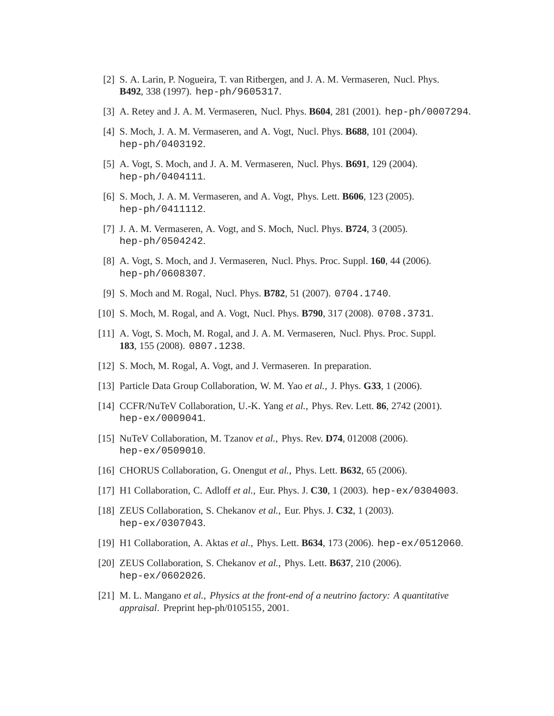- [2] S. A. Larin, P. Nogueira, T. van Ritbergen, and J. A. M. Vermaseren, Nucl. Phys. **B492**, 338 (1997). hep-ph/9605317.
- [3] A. Retey and J. A. M. Vermaseren, Nucl. Phys. **B604**, 281 (2001). hep-ph/0007294.
- [4] S. Moch, J. A. M. Vermaseren, and A. Vogt, Nucl. Phys. **B688**, 101 (2004). hep-ph/0403192.
- [5] A. Vogt, S. Moch, and J. A. M. Vermaseren, Nucl. Phys. **B691**, 129 (2004). hep-ph/0404111.
- [6] S. Moch, J. A. M. Vermaseren, and A. Vogt, Phys. Lett. **B606**, 123 (2005). hep-ph/0411112.
- [7] J. A. M. Vermaseren, A. Vogt, and S. Moch, Nucl. Phys. **B724**, 3 (2005). hep-ph/0504242.
- [8] A. Vogt, S. Moch, and J. Vermaseren, Nucl. Phys. Proc. Suppl. **160**, 44 (2006). hep-ph/0608307.
- [9] S. Moch and M. Rogal, Nucl. Phys. **B782**, 51 (2007). 0704.1740.
- [10] S. Moch, M. Rogal, and A. Vogt, Nucl. Phys. **B790**, 317 (2008). 0708.3731.
- [11] A. Vogt, S. Moch, M. Rogal, and J. A. M. Vermaseren, Nucl. Phys. Proc. Suppl. **183**, 155 (2008). 0807.1238.
- [12] S. Moch, M. Rogal, A. Vogt, and J. Vermaseren. In preparation.
- [13] Particle Data Group Collaboration, W. M. Yao *et al.*, J. Phys. **G33**, 1 (2006).
- [14] CCFR/NuTeV Collaboration, U.-K. Yang *et al.*, Phys. Rev. Lett. **86**, 2742 (2001). hep-ex/0009041.
- [15] NuTeV Collaboration, M. Tzanov *et al.*, Phys. Rev. **D74**, 012008 (2006). hep-ex/0509010.
- [16] CHORUS Collaboration, G. Onengut *et al.*, Phys. Lett. **B632**, 65 (2006).
- [17] H1 Collaboration, C. Adloff *et al.*, Eur. Phys. J. **C30**, 1 (2003). hep-ex/0304003.
- [18] ZEUS Collaboration, S. Chekanov *et al.*, Eur. Phys. J. **C32**, 1 (2003). hep-ex/0307043.
- [19] H1 Collaboration, A. Aktas *et al.*, Phys. Lett. **B634**, 173 (2006). hep-ex/0512060.
- [20] ZEUS Collaboration, S. Chekanov *et al.*, Phys. Lett. **B637**, 210 (2006). hep-ex/0602026.
- [21] M. L. Mangano *et al.*, *Physics at the front-end of a neutrino factory: A quantitative appraisal*. Preprint hep-ph/0105155, 2001.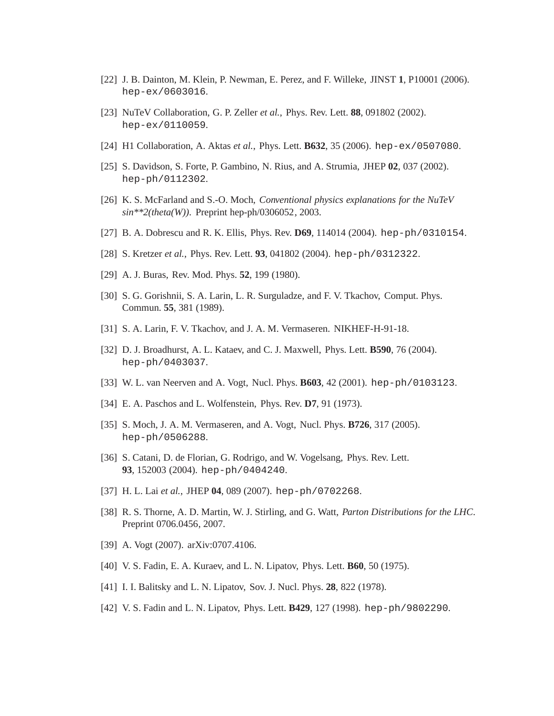- [22] J. B. Dainton, M. Klein, P. Newman, E. Perez, and F. Willeke, JINST **1**, P10001 (2006). hep-ex/0603016.
- [23] NuTeV Collaboration, G. P. Zeller *et al.*, Phys. Rev. Lett. **88**, 091802 (2002). hep-ex/0110059.
- [24] H1 Collaboration, A. Aktas *et al.*, Phys. Lett. **B632**, 35 (2006). hep-ex/0507080.
- [25] S. Davidson, S. Forte, P. Gambino, N. Rius, and A. Strumia, JHEP **02**, 037 (2002). hep-ph/0112302.
- [26] K. S. McFarland and S.-O. Moch, *Conventional physics explanations for the NuTeV sin\*\*2(theta(W))*. Preprint hep-ph/0306052, 2003.
- [27] B. A. Dobrescu and R. K. Ellis, Phys. Rev. **D69**, 114014 (2004). hep-ph/0310154.
- [28] S. Kretzer *et al.*, Phys. Rev. Lett. **93**, 041802 (2004). hep-ph/0312322.
- [29] A. J. Buras, Rev. Mod. Phys. **52**, 199 (1980).
- [30] S. G. Gorishnii, S. A. Larin, L. R. Surguladze, and F. V. Tkachov, Comput. Phys. Commun. **55**, 381 (1989).
- [31] S. A. Larin, F. V. Tkachov, and J. A. M. Vermaseren. NIKHEF-H-91-18.
- [32] D. J. Broadhurst, A. L. Kataev, and C. J. Maxwell, Phys. Lett. **B590**, 76 (2004). hep-ph/0403037.
- [33] W. L. van Neerven and A. Vogt, Nucl. Phys. **B603**, 42 (2001). hep-ph/0103123.
- [34] E. A. Paschos and L. Wolfenstein, Phys. Rev. **D7**, 91 (1973).
- [35] S. Moch, J. A. M. Vermaseren, and A. Vogt, Nucl. Phys. **B726**, 317 (2005). hep-ph/0506288.
- [36] S. Catani, D. de Florian, G. Rodrigo, and W. Vogelsang, Phys. Rev. Lett. **93**, 152003 (2004). hep-ph/0404240.
- [37] H. L. Lai *et al.*, JHEP **04**, 089 (2007). hep-ph/0702268.
- [38] R. S. Thorne, A. D. Martin, W. J. Stirling, and G. Watt, *Parton Distributions for the LHC*. Preprint 0706.0456, 2007.
- [39] A. Vogt (2007). arXiv:0707.4106.
- [40] V. S. Fadin, E. A. Kuraev, and L. N. Lipatov, Phys. Lett. **B60**, 50 (1975).
- [41] I. I. Balitsky and L. N. Lipatov, Sov. J. Nucl. Phys. **28**, 822 (1978).
- [42] V. S. Fadin and L. N. Lipatov, Phys. Lett. **B429**, 127 (1998). hep-ph/9802290.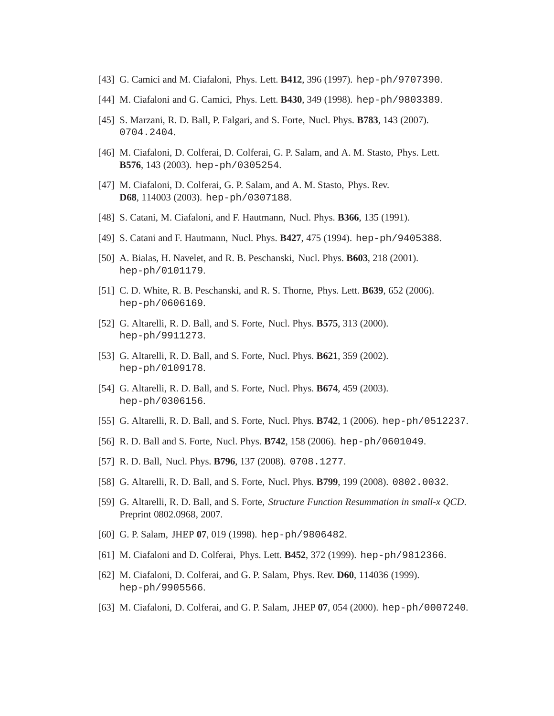- [43] G. Camici and M. Ciafaloni, Phys. Lett. **B412**, 396 (1997). hep-ph/9707390.
- [44] M. Ciafaloni and G. Camici, Phys. Lett. **B430**, 349 (1998). hep-ph/9803389.
- [45] S. Marzani, R. D. Ball, P. Falgari, and S. Forte, Nucl. Phys. **B783**, 143 (2007). 0704.2404.
- [46] M. Ciafaloni, D. Colferai, D. Colferai, G. P. Salam, and A. M. Stasto, Phys. Lett. **B576**, 143 (2003). hep-ph/0305254.
- [47] M. Ciafaloni, D. Colferai, G. P. Salam, and A. M. Stasto, Phys. Rev. **D68**, 114003 (2003). hep-ph/0307188.
- [48] S. Catani, M. Ciafaloni, and F. Hautmann, Nucl. Phys. **B366**, 135 (1991).
- [49] S. Catani and F. Hautmann, Nucl. Phys. **B427**, 475 (1994). hep-ph/9405388.
- [50] A. Bialas, H. Navelet, and R. B. Peschanski, Nucl. Phys. **B603**, 218 (2001). hep-ph/0101179.
- [51] C. D. White, R. B. Peschanski, and R. S. Thorne, Phys. Lett. **B639**, 652 (2006). hep-ph/0606169.
- [52] G. Altarelli, R. D. Ball, and S. Forte, Nucl. Phys. **B575**, 313 (2000). hep-ph/9911273.
- [53] G. Altarelli, R. D. Ball, and S. Forte, Nucl. Phys. **B621**, 359 (2002). hep-ph/0109178.
- [54] G. Altarelli, R. D. Ball, and S. Forte, Nucl. Phys. **B674**, 459 (2003). hep-ph/0306156.
- [55] G. Altarelli, R. D. Ball, and S. Forte, Nucl. Phys. **B742**, 1 (2006). hep-ph/0512237.
- [56] R. D. Ball and S. Forte, Nucl. Phys. **B742**, 158 (2006). hep-ph/0601049.
- [57] R. D. Ball, Nucl. Phys. **B796**, 137 (2008). 0708.1277.
- [58] G. Altarelli, R. D. Ball, and S. Forte, Nucl. Phys. **B799**, 199 (2008). 0802.0032.
- [59] G. Altarelli, R. D. Ball, and S. Forte, *Structure Function Resummation in small-x QCD*. Preprint 0802.0968, 2007.
- [60] G. P. Salam, JHEP **07**, 019 (1998). hep-ph/9806482.
- [61] M. Ciafaloni and D. Colferai, Phys. Lett. **B452**, 372 (1999). hep-ph/9812366.
- [62] M. Ciafaloni, D. Colferai, and G. P. Salam, Phys. Rev. **D60**, 114036 (1999). hep-ph/9905566.
- [63] M. Ciafaloni, D. Colferai, and G. P. Salam, JHEP **07**, 054 (2000). hep-ph/0007240.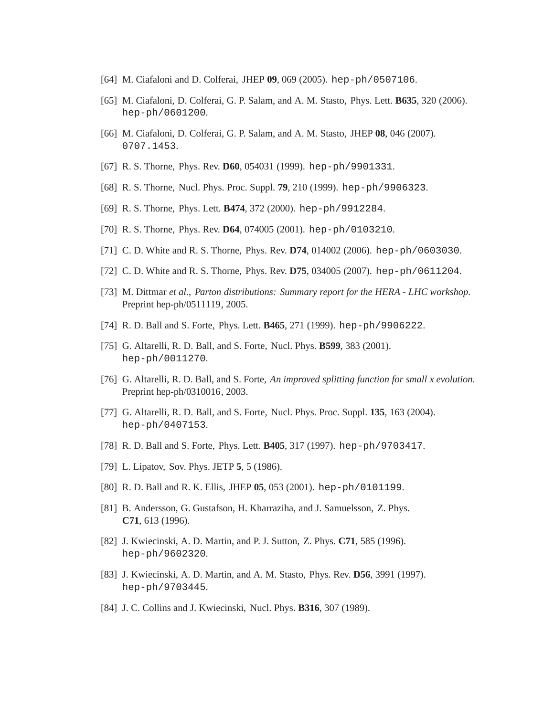- [64] M. Ciafaloni and D. Colferai, JHEP **09**, 069 (2005). hep-ph/0507106.
- [65] M. Ciafaloni, D. Colferai, G. P. Salam, and A. M. Stasto, Phys. Lett. **B635**, 320 (2006). hep-ph/0601200.
- [66] M. Ciafaloni, D. Colferai, G. P. Salam, and A. M. Stasto, JHEP **08**, 046 (2007). 0707.1453.
- [67] R. S. Thorne, Phys. Rev. **D60**, 054031 (1999). hep-ph/9901331.
- [68] R. S. Thorne, Nucl. Phys. Proc. Suppl. **79**, 210 (1999). hep-ph/9906323.
- [69] R. S. Thorne, Phys. Lett. **B474**, 372 (2000). hep-ph/9912284.
- [70] R. S. Thorne, Phys. Rev. **D64**, 074005 (2001). hep-ph/0103210.
- [71] C. D. White and R. S. Thorne, Phys. Rev. **D74**, 014002 (2006). hep-ph/0603030.
- [72] C. D. White and R. S. Thorne, Phys. Rev. **D75**, 034005 (2007). hep-ph/0611204.
- [73] M. Dittmar *et al.*, *Parton distributions: Summary report for the HERA LHC workshop*. Preprint hep-ph/0511119, 2005.
- [74] R. D. Ball and S. Forte, Phys. Lett. **B465**, 271 (1999). hep-ph/9906222.
- [75] G. Altarelli, R. D. Ball, and S. Forte, Nucl. Phys. **B599**, 383 (2001). hep-ph/0011270.
- [76] G. Altarelli, R. D. Ball, and S. Forte, *An improved splitting function for small x evolution*. Preprint hep-ph/0310016, 2003.
- [77] G. Altarelli, R. D. Ball, and S. Forte, Nucl. Phys. Proc. Suppl. **135**, 163 (2004). hep-ph/0407153.
- [78] R. D. Ball and S. Forte, Phys. Lett. **B405**, 317 (1997). hep-ph/9703417.
- [79] L. Lipatov, Sov. Phys. JETP **5**, 5 (1986).
- [80] R. D. Ball and R. K. Ellis, JHEP **05**, 053 (2001). hep-ph/0101199.
- [81] B. Andersson, G. Gustafson, H. Kharraziha, and J. Samuelsson, Z. Phys. **C71**, 613 (1996).
- [82] J. Kwiecinski, A. D. Martin, and P. J. Sutton, Z. Phys. **C71**, 585 (1996). hep-ph/9602320.
- [83] J. Kwiecinski, A. D. Martin, and A. M. Stasto, Phys. Rev. **D56**, 3991 (1997). hep-ph/9703445.
- [84] J. C. Collins and J. Kwiecinski, Nucl. Phys. **B316**, 307 (1989).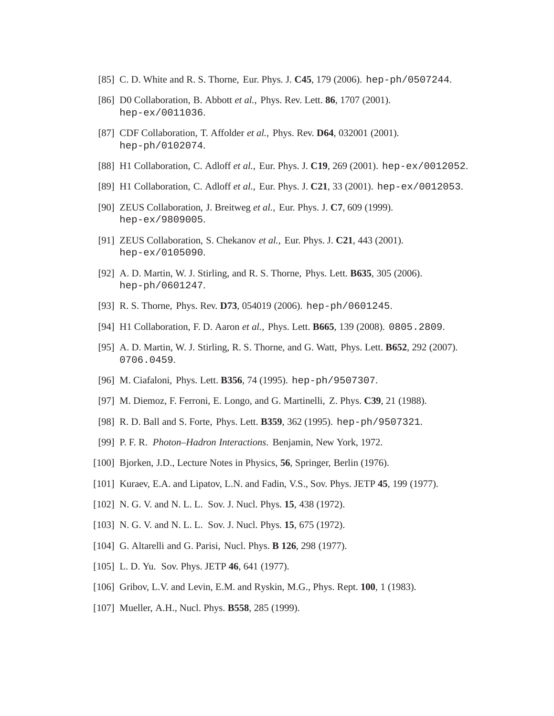- [85] C. D. White and R. S. Thorne, Eur. Phys. J. **C45**, 179 (2006). hep-ph/0507244.
- [86] D0 Collaboration, B. Abbott *et al.*, Phys. Rev. Lett. **86**, 1707 (2001). hep-ex/0011036.
- [87] CDF Collaboration, T. Affolder *et al.*, Phys. Rev. **D64**, 032001 (2001). hep-ph/0102074.
- [88] H1 Collaboration, C. Adloff *et al.*, Eur. Phys. J. **C19**, 269 (2001). hep-ex/0012052.
- [89] H1 Collaboration, C. Adloff *et al.*, Eur. Phys. J. **C21**, 33 (2001). hep-ex/0012053.
- [90] ZEUS Collaboration, J. Breitweg *et al.*, Eur. Phys. J. **C7**, 609 (1999). hep-ex/9809005.
- [91] ZEUS Collaboration, S. Chekanov *et al.*, Eur. Phys. J. **C21**, 443 (2001). hep-ex/0105090.
- [92] A. D. Martin, W. J. Stirling, and R. S. Thorne, Phys. Lett. **B635**, 305 (2006). hep-ph/0601247.
- [93] R. S. Thorne, Phys. Rev. **D73**, 054019 (2006). hep-ph/0601245.
- [94] H1 Collaboration, F. D. Aaron *et al.*, Phys. Lett. **B665**, 139 (2008). 0805.2809.
- [95] A. D. Martin, W. J. Stirling, R. S. Thorne, and G. Watt, Phys. Lett. **B652**, 292 (2007). 0706.0459.
- [96] M. Ciafaloni, Phys. Lett. **B356**, 74 (1995). hep-ph/9507307.
- [97] M. Diemoz, F. Ferroni, E. Longo, and G. Martinelli, Z. Phys. **C39**, 21 (1988).
- [98] R. D. Ball and S. Forte, Phys. Lett. **B359**, 362 (1995). hep-ph/9507321.
- [99] P. F. R. *Photon–Hadron Interactions*. Benjamin, New York, 1972.
- [100] Bjorken, J.D., Lecture Notes in Physics, **56**, Springer, Berlin (1976).
- [101] Kuraev, E.A. and Lipatov, L.N. and Fadin, V.S., Sov. Phys. JETP **45**, 199 (1977).
- [102] N. G. V. and N. L. L. Sov. J. Nucl. Phys. **15**, 438 (1972).
- [103] N. G. V. and N. L. L. Sov. J. Nucl. Phys. **15**, 675 (1972).
- [104] G. Altarelli and G. Parisi, Nucl. Phys. **B 126**, 298 (1977).
- [105] L. D. Yu. Sov. Phys. JETP **46**, 641 (1977).
- [106] Gribov, L.V. and Levin, E.M. and Ryskin, M.G., Phys. Rept. **100**, 1 (1983).
- [107] Mueller, A.H., Nucl. Phys. **B558**, 285 (1999).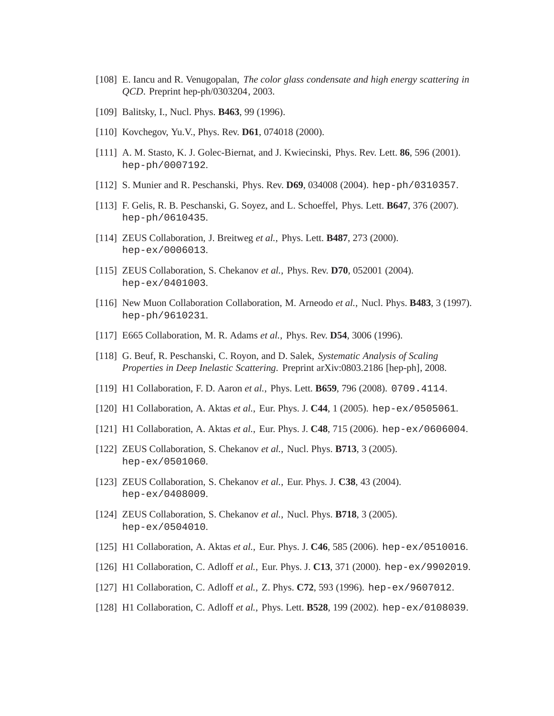- [108] E. Iancu and R. Venugopalan, *The color glass condensate and high energy scattering in QCD*. Preprint hep-ph/0303204, 2003.
- [109] Balitsky, I., Nucl. Phys. **B463**, 99 (1996).
- [110] Kovchegov, Yu.V., Phys. Rev. **D61**, 074018 (2000).
- [111] A. M. Stasto, K. J. Golec-Biernat, and J. Kwiecinski, Phys. Rev. Lett. **86**, 596 (2001). hep-ph/0007192.
- [112] S. Munier and R. Peschanski, Phys. Rev. **D69**, 034008 (2004). hep-ph/0310357.
- [113] F. Gelis, R. B. Peschanski, G. Soyez, and L. Schoeffel, Phys. Lett. **B647**, 376 (2007). hep-ph/0610435.
- [114] ZEUS Collaboration, J. Breitweg *et al.*, Phys. Lett. **B487**, 273 (2000). hep-ex/0006013.
- [115] ZEUS Collaboration, S. Chekanov *et al.*, Phys. Rev. **D70**, 052001 (2004). hep-ex/0401003.
- [116] New Muon Collaboration Collaboration, M. Arneodo *et al.*, Nucl. Phys. **B483**, 3 (1997). hep-ph/9610231.
- [117] E665 Collaboration, M. R. Adams *et al.*, Phys. Rev. **D54**, 3006 (1996).
- [118] G. Beuf, R. Peschanski, C. Royon, and D. Salek, *Systematic Analysis of Scaling Properties in Deep Inelastic Scattering*. Preprint arXiv:0803.2186 [hep-ph], 2008.
- [119] H1 Collaboration, F. D. Aaron *et al.*, Phys. Lett. **B659**, 796 (2008). 0709.4114.
- [120] H1 Collaboration, A. Aktas *et al.*, Eur. Phys. J. **C44**, 1 (2005). hep-ex/0505061.
- [121] H1 Collaboration, A. Aktas *et al.*, Eur. Phys. J. **C48**, 715 (2006). hep-ex/0606004.
- [122] ZEUS Collaboration, S. Chekanov *et al.*, Nucl. Phys. **B713**, 3 (2005). hep-ex/0501060.
- [123] ZEUS Collaboration, S. Chekanov *et al.*, Eur. Phys. J. **C38**, 43 (2004). hep-ex/0408009.
- [124] ZEUS Collaboration, S. Chekanov *et al.*, Nucl. Phys. **B718**, 3 (2005). hep-ex/0504010.
- [125] H1 Collaboration, A. Aktas *et al.*, Eur. Phys. J. **C46**, 585 (2006). hep-ex/0510016.
- [126] H1 Collaboration, C. Adloff *et al.*, Eur. Phys. J. **C13**, 371 (2000). hep-ex/9902019.
- [127] H1 Collaboration, C. Adloff *et al.*, Z. Phys. **C72**, 593 (1996). hep-ex/9607012.
- [128] H1 Collaboration, C. Adloff *et al.*, Phys. Lett. **B528**, 199 (2002). hep-ex/0108039.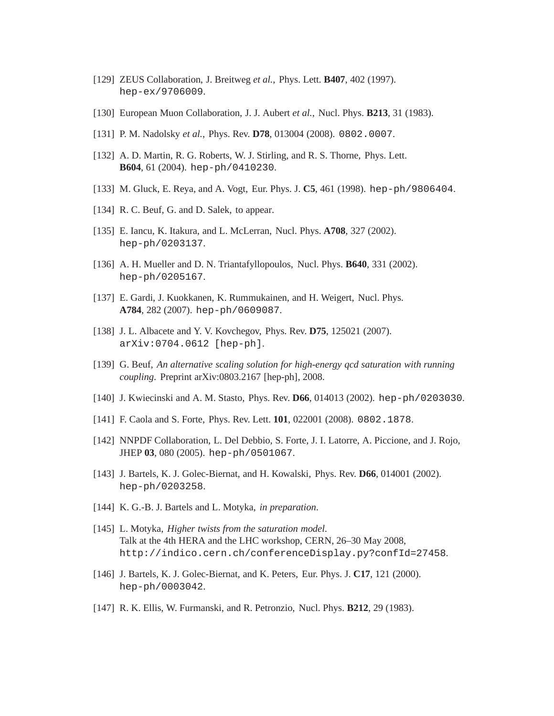- [129] ZEUS Collaboration, J. Breitweg *et al.*, Phys. Lett. **B407**, 402 (1997). hep-ex/9706009.
- [130] European Muon Collaboration, J. J. Aubert *et al.*, Nucl. Phys. **B213**, 31 (1983).
- [131] P. M. Nadolsky *et al.*, Phys. Rev. **D78**, 013004 (2008). 0802.0007.
- [132] A. D. Martin, R. G. Roberts, W. J. Stirling, and R. S. Thorne, Phys. Lett. **B604**, 61 (2004). hep-ph/0410230.
- [133] M. Gluck, E. Reya, and A. Vogt, Eur. Phys. J. **C5**, 461 (1998). hep-ph/9806404.
- [134] R. C. Beuf, G. and D. Salek, to appear.
- [135] E. Iancu, K. Itakura, and L. McLerran, Nucl. Phys. **A708**, 327 (2002). hep-ph/0203137.
- [136] A. H. Mueller and D. N. Triantafyllopoulos, Nucl. Phys. **B640**, 331 (2002). hep-ph/0205167.
- [137] E. Gardi, J. Kuokkanen, K. Rummukainen, and H. Weigert, Nucl. Phys. **A784**, 282 (2007). hep-ph/0609087.
- [138] J. L. Albacete and Y. V. Kovchegov, Phys. Rev. **D75**, 125021 (2007). arXiv:0704.0612 [hep-ph].
- [139] G. Beuf, *An alternative scaling solution for high-energy qcd saturation with running coupling*. Preprint arXiv:0803.2167 [hep-ph], 2008.
- [140] J. Kwiecinski and A. M. Stasto, Phys. Rev. **D66**, 014013 (2002). hep-ph/0203030.
- [141] F. Caola and S. Forte, Phys. Rev. Lett. **101**, 022001 (2008). 0802.1878.
- [142] NNPDF Collaboration, L. Del Debbio, S. Forte, J. I. Latorre, A. Piccione, and J. Rojo, JHEP **03**, 080 (2005). hep-ph/0501067.
- [143] J. Bartels, K. J. Golec-Biernat, and H. Kowalski, Phys. Rev. **D66**, 014001 (2002). hep-ph/0203258.
- [144] K. G.-B. J. Bartels and L. Motyka, *in preparation*.
- [145] L. Motyka, *Higher twists from the saturation model*. Talk at the 4th HERA and the LHC workshop, CERN, 26–30 May 2008, http://indico.cern.ch/conferenceDisplay.py?confId=27458.
- [146] J. Bartels, K. J. Golec-Biernat, and K. Peters, Eur. Phys. J. **C17**, 121 (2000). hep-ph/0003042.
- [147] R. K. Ellis, W. Furmanski, and R. Petronzio, Nucl. Phys. **B212**, 29 (1983).